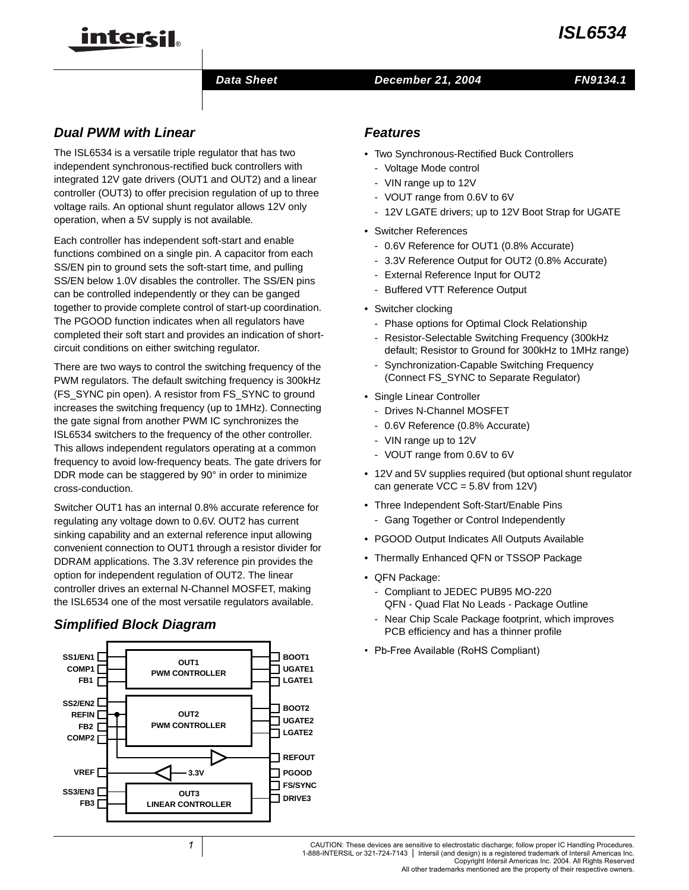

#### **Data Sheet December 21, 2004 FN9134.1**

# **Dual PWM with Linear**

inter<del>cil</del>

The ISL6534 is a versatile triple regulator that has two independent synchronous-rectified buck controllers with integrated 12V gate drivers (OUT1 and OUT2) and a linear controller (OUT3) to offer precision regulation of up to three voltage rails. An optional shunt regulator allows 12V only operation, when a 5V supply is not available.

Each controller has independent soft-start and enable functions combined on a single pin. A capacitor from each SS/EN pin to ground sets the soft-start time, and pulling SS/EN below 1.0V disables the controller. The SS/EN pins can be controlled independently or they can be ganged together to provide complete control of start-up coordination. The PGOOD function indicates when all regulators have completed their soft start and provides an indication of shortcircuit conditions on either switching regulator.

There are two ways to control the switching frequency of the PWM regulators. The default switching frequency is 300kHz (FS\_SYNC pin open). A resistor from FS\_SYNC to ground increases the switching frequency (up to 1MHz). Connecting the gate signal from another PWM IC synchronizes the ISL6534 switchers to the frequency of the other controller. This allows independent regulators operating at a common frequency to avoid low-frequency beats. The gate drivers for DDR mode can be staggered by 90° in order to minimize cross-conduction.

Switcher OUT1 has an internal 0.8% accurate reference for regulating any voltage down to 0.6V. OUT2 has current sinking capability and an external reference input allowing convenient connection to OUT1 through a resistor divider for DDRAM applications. The 3.3V reference pin provides the option for independent regulation of OUT2. The linear controller drives an external N-Channel MOSFET, making the ISL6534 one of the most versatile regulators available.

# **Simplified Block Diagram**



# **Features**

- Two Synchronous-Rectified Buck Controllers
	- Voltage Mode control
	- VIN range up to 12V
	- VOUT range from 0.6V to 6V
	- 12V LGATE drivers; up to 12V Boot Strap for UGATE
- Switcher References
	- 0.6V Reference for OUT1 (0.8% Accurate)
	- 3.3V Reference Output for OUT2 (0.8% Accurate)
	- External Reference Input for OUT2
	- Buffered VTT Reference Output
- Switcher clocking
	- Phase options for Optimal Clock Relationship
	- Resistor-Selectable Switching Frequency (300kHz default; Resistor to Ground for 300kHz to 1MHz range)
	- Synchronization-Capable Switching Frequency (Connect FS\_SYNC to Separate Regulator)
- Single Linear Controller
	- Drives N-Channel MOSFET
	- 0.6V Reference (0.8% Accurate)
	- VIN range up to 12V
	- VOUT range from 0.6V to 6V
- 12V and 5V supplies required (but optional shunt regulator can generate  $VCC = 5.8V$  from 12V)
- Three Independent Soft-Start/Enable Pins
	- Gang Together or Control Independently
- PGOOD Output Indicates All Outputs Available
- Thermally Enhanced QFN or TSSOP Package
- QFN Package:
	- Compliant to JEDEC PUB95 MO-220 QFN - Quad Flat No Leads - Package Outline
	- Near Chip Scale Package footprint, which improves PCB efficiency and has a thinner profile
- Pb-Free Available (RoHS Compliant) **BOOT1**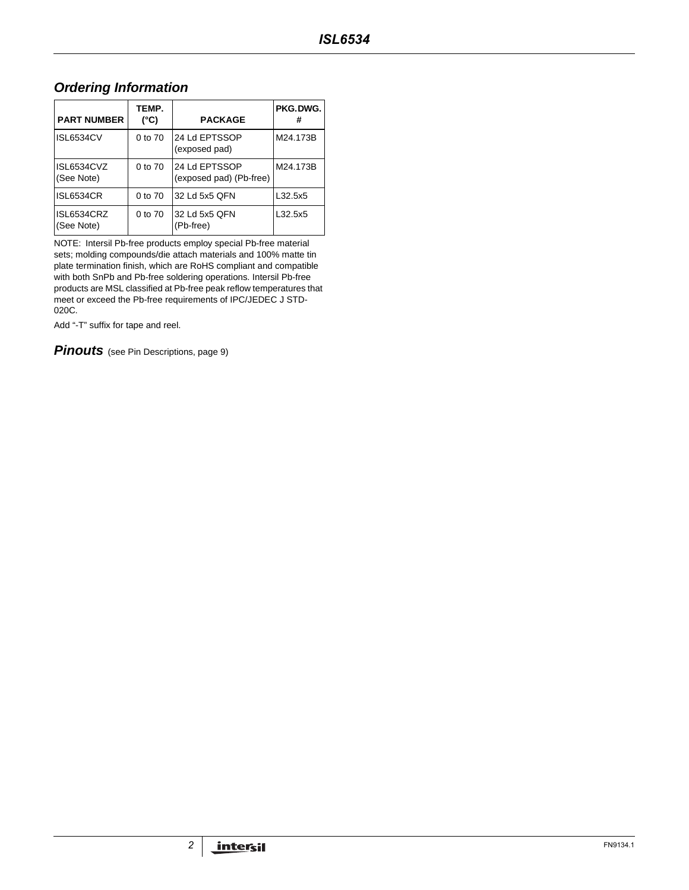# **Ordering Information**

| <b>PART NUMBER</b>       | TEMP.<br>(°C) | <b>PACKAGE</b>                           | PKG.DWG. |
|--------------------------|---------------|------------------------------------------|----------|
| <b>ISL6534CV</b>         | 0 to 70       | 24 Ld EPTSSOP<br>(exposed pad)           | M24.173B |
| ISL6534CVZ<br>(See Note) | 0 to 70       | 24 Ld EPTSSOP<br>(exposed pad) (Pb-free) | M24.173B |
| <b>ISL6534CR</b>         | $0$ to $70$   | 32 Ld 5x5 QFN                            | L32.5x5  |
| ISL6534CRZ<br>(See Note) | 0 to 70       | 32 Ld 5x5 QFN<br>(Pb-free)               | L32.5x5  |

NOTE: Intersil Pb-free products employ special Pb-free material sets; molding compounds/die attach materials and 100% matte tin plate termination finish, which are RoHS compliant and compatible with both SnPb and Pb-free soldering operations. Intersil Pb-free products are MSL classified at Pb-free peak reflow temperatures that meet or exceed the Pb-free requirements of IPC/JEDEC J STD-020C.

Add "-T" suffix for tape and reel.

**Pinouts** (see Pin Descriptions, page 9)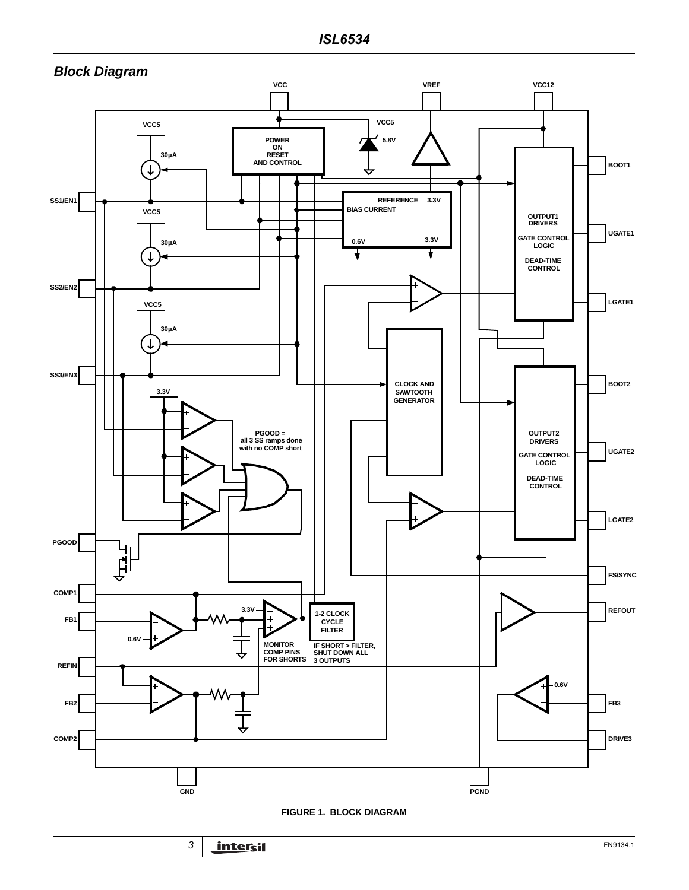

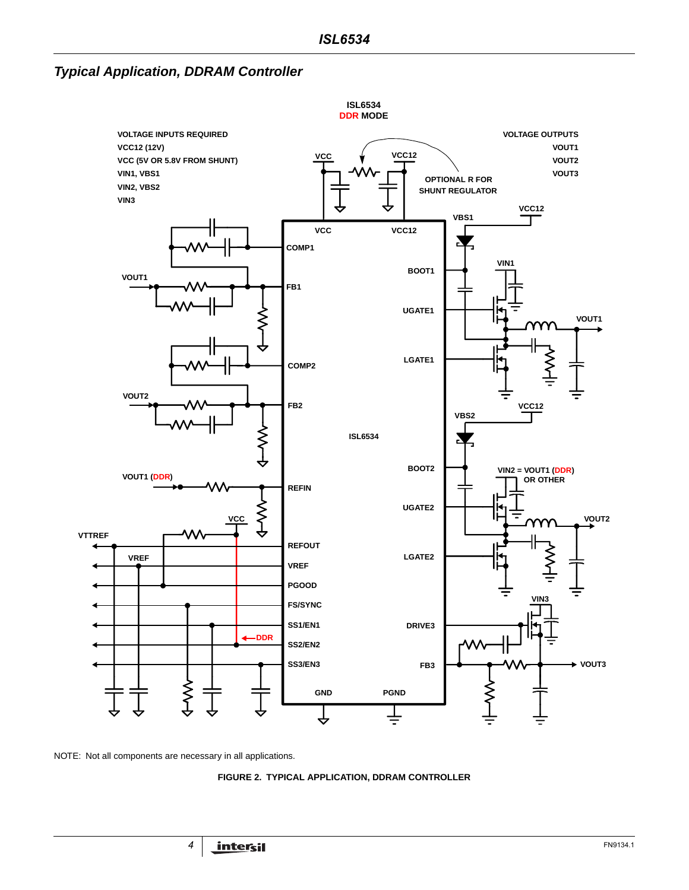**Typical Application, DDRAM Controller**



NOTE: Not all components are necessary in all applications.

**FIGURE 2. TYPICAL APPLICATION, DDRAM CONTROLLER**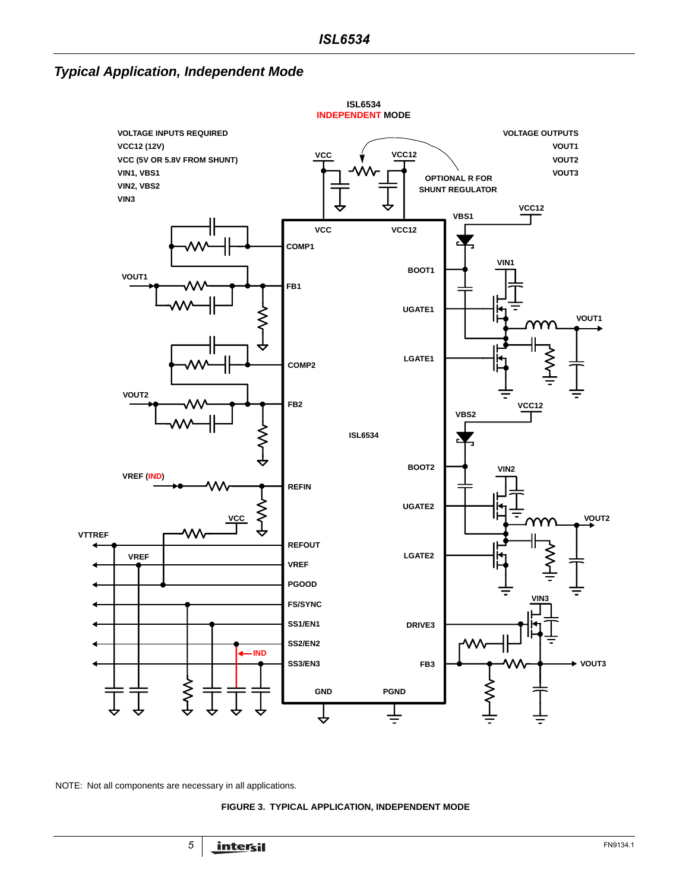# **Typical Application, Independent Mode**



<span id="page-4-0"></span>NOTE: Not all components are necessary in all applications.

#### **FIGURE 3. TYPICAL APPLICATION, INDEPENDENT MODE**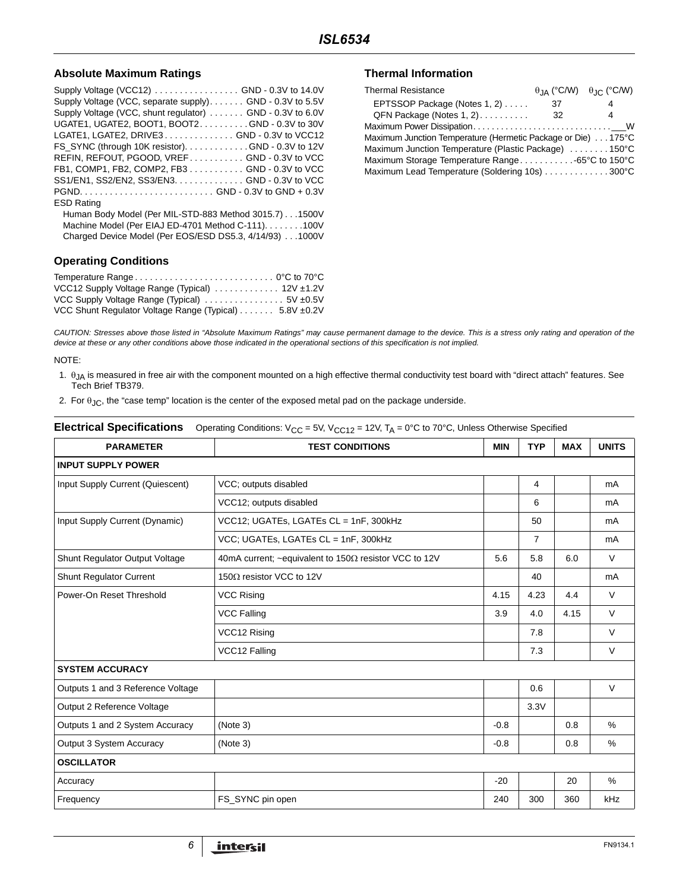#### Absolute Maximum Ratings **Thermal Information**

| Supply Voltage (VCC12) GND - 0.3V to 14.0V                |
|-----------------------------------------------------------|
| Supply Voltage (VCC, separate supply). GND - 0.3V to 5.5V |
| Supply Voltage (VCC, shunt regulator)  GND - 0.3V to 6.0V |
| UGATE1, UGATE2, BOOT1, BOOT2. GND - 0.3V to 30V           |
| LGATE1, LGATE2, DRIVE3GND - 0.3V to VCC12                 |
| FS_SYNC (through 10K resistor). GND - 0.3V to 12V         |
| REFIN, REFOUT, PGOOD, VREF GND - 0.3V to VCC              |
| FB1, COMP1, FB2, COMP2, FB3 GND - 0.3V to VCC             |
| SS1/EN1, SS2/EN2, SS3/EN3. GND - 0.3V to VCC              |
|                                                           |
| <b>ESD Rating</b>                                         |
| Human Body Model (Per MIL-STD-883 Method 3015.7)1500V     |
| Machine Model (Per EIAJ ED-4701 Method C-111). 100V       |
| Charged Device Model (Per EOS/ESD DS5.3, 4/14/93) 1000V   |
|                                                           |

## **Operating Conditions**

| VCC12 Supply Voltage Range (Typical)  12V ±1.2V        |  |
|--------------------------------------------------------|--|
|                                                        |  |
| VCC Shunt Regulator Voltage Range (Typical) 5.8V ±0.2V |  |

| <b>Thermal Resistance</b>                                    |    | $\theta$ JA (°C/W) $\theta$ JC (°C/W) |
|--------------------------------------------------------------|----|---------------------------------------|
| EPTSSOP Package (Notes 1, 2)                                 | 37 | 4                                     |
| $QFN$ Package (Notes 1, 2)                                   | 32 | 4                                     |
|                                                              |    |                                       |
| Maximum Junction Temperature (Hermetic Package or Die) 175°C |    |                                       |
| Maximum Junction Temperature (Plastic Package) 150°C         |    |                                       |
| Maximum Storage Temperature Range65°C to 150°C               |    |                                       |
| Maximum Lead Temperature (Soldering 10s) 300°C               |    |                                       |

CAUTION: Stresses above those listed in "Absolute Maximum Ratings" may cause permanent damage to the device. This is a stress only rating and operation of the device at these or any other conditions above those indicated in the operational sections of this specification is not implied.

#### NOTE:

- 1.  $\theta_{JA}$  is measured in free air with the component mounted on a high effective thermal conductivity test board with "direct attach" features. See Tech Brief TB379.
- 2. For  $\theta_{JC}$ , the "case temp" location is the center of the exposed metal pad on the package underside.

#### **Electrical Specifications** Operating Conditions: V<sub>CC</sub> = 5V, V<sub>CC12</sub> = 12V, T<sub>A</sub> = 0°C to 70°C, Unless Otherwise Specified

| <b>PARAMETER</b>                  | <b>TEST CONDITIONS</b>                                        |        | <b>TYP</b>     | <b>MAX</b> | <b>UNITS</b> |
|-----------------------------------|---------------------------------------------------------------|--------|----------------|------------|--------------|
| <b>INPUT SUPPLY POWER</b>         |                                                               |        |                |            |              |
| Input Supply Current (Quiescent)  | VCC; outputs disabled                                         |        | 4              |            | mA           |
|                                   | VCC12; outputs disabled                                       |        | 6              |            | mA           |
| Input Supply Current (Dynamic)    | VCC12; UGATEs, LGATEs CL = 1nF, 300kHz                        |        | 50             |            | mA           |
|                                   | VCC; UGATEs, LGATEs CL = 1nF, 300kHz                          |        | $\overline{7}$ |            | mA           |
| Shunt Regulator Output Voltage    | 40mA current; ~equivalent to 150 $\Omega$ resistor VCC to 12V | 5.6    | 5.8            | 6.0        | $\vee$       |
| <b>Shunt Regulator Current</b>    | 150 $\Omega$ resistor VCC to 12V                              |        | 40             |            | mA           |
| Power-On Reset Threshold          | <b>VCC Rising</b>                                             |        | 4.23           | 4.4        | $\vee$       |
|                                   | <b>VCC Falling</b>                                            | 3.9    | 4.0            | 4.15       | $\vee$       |
|                                   | VCC12 Rising                                                  |        | 7.8            |            | $\vee$       |
|                                   | VCC12 Falling                                                 |        | 7.3            |            | $\vee$       |
| <b>SYSTEM ACCURACY</b>            |                                                               |        |                |            |              |
| Outputs 1 and 3 Reference Voltage |                                                               |        | 0.6            |            | V            |
| Output 2 Reference Voltage        |                                                               |        | 3.3V           |            |              |
| Outputs 1 and 2 System Accuracy   | (Note 3)                                                      | $-0.8$ |                | 0.8        | %            |
| Output 3 System Accuracy          | (Note 3)                                                      | $-0.8$ |                | 0.8        | $\%$         |
| <b>OSCILLATOR</b>                 |                                                               |        |                |            |              |
| Accuracy                          |                                                               | $-20$  |                | 20         | $\%$         |
| Frequency                         | FS SYNC pin open                                              | 240    | 300            | 360        | kHz          |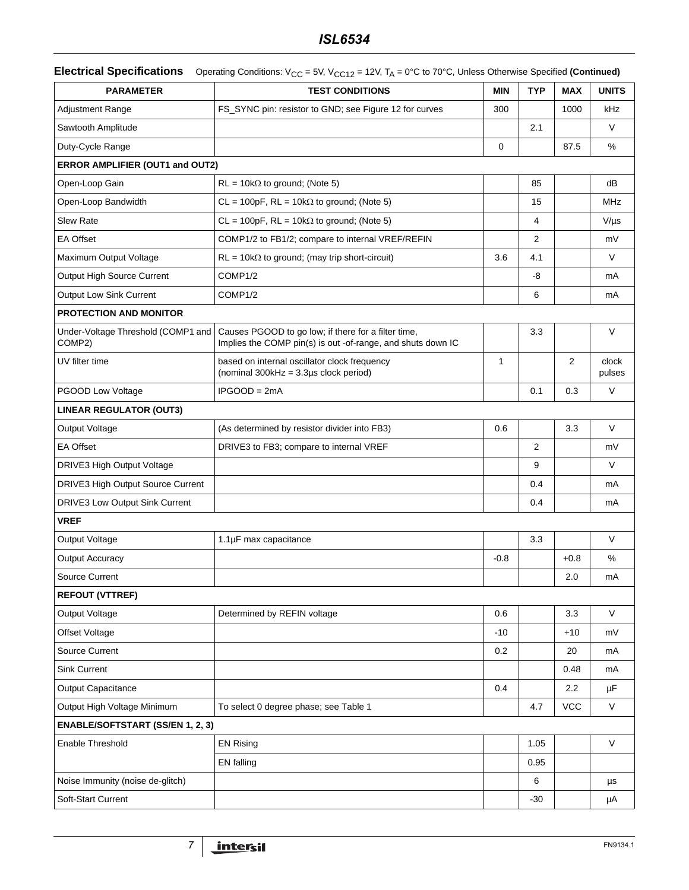|  | <b>Electrical Specifications</b> Operating Conditions: V <sub>CC</sub> = 5V, V <sub>CC12</sub> = 12V, T <sub>A</sub> = 0°C to 70°C, Unless Otherwise Specified (Continued) |
|--|----------------------------------------------------------------------------------------------------------------------------------------------------------------------------|
|--|----------------------------------------------------------------------------------------------------------------------------------------------------------------------------|

| <b>PARAMETER</b>                             | <b>TEST CONDITIONS</b>                                                                                             | <b>MIN</b>   | <b>TYP</b>     | <b>MAX</b> | <b>UNITS</b>    |
|----------------------------------------------|--------------------------------------------------------------------------------------------------------------------|--------------|----------------|------------|-----------------|
| <b>Adjustment Range</b>                      | FS_SYNC pin: resistor to GND; see Figure 12 for curves                                                             | 300          |                | 1000       | kHz             |
| Sawtooth Amplitude                           |                                                                                                                    |              | 2.1            |            | V               |
| Duty-Cycle Range                             |                                                                                                                    | $\mathbf 0$  |                | 87.5       | %               |
| ERROR AMPLIFIER (OUT1 and OUT2)              |                                                                                                                    |              |                |            |                 |
| Open-Loop Gain                               | $RL = 10k\Omega$ to ground; (Note 5)                                                                               |              | 85             |            | dB              |
| Open-Loop Bandwidth                          | $CL = 100pF$ , $RL = 10k\Omega$ to ground; (Note 5)                                                                |              | 15             |            | MHz             |
| Slew Rate                                    | $CL = 100pF$ , $RL = 10k\Omega$ to ground; (Note 5)                                                                |              | 4              |            | $V/\mu s$       |
| <b>EA Offset</b>                             | COMP1/2 to FB1/2; compare to internal VREF/REFIN                                                                   |              | $\overline{2}$ |            | mV              |
| Maximum Output Voltage                       | $RL = 10k\Omega$ to ground; (may trip short-circuit)                                                               | 3.6          | 4.1            |            | $\vee$          |
| Output High Source Current                   | COMP1/2                                                                                                            |              | -8             |            | mA              |
| <b>Output Low Sink Current</b>               | COMP1/2                                                                                                            |              | 6              |            | mA              |
| <b>PROTECTION AND MONITOR</b>                |                                                                                                                    |              |                |            |                 |
| Under-Voltage Threshold (COMP1 and<br>COMP2) | Causes PGOOD to go low; if there for a filter time,<br>Implies the COMP pin(s) is out -of-range, and shuts down IC |              | 3.3            |            | $\vee$          |
| UV filter time                               | based on internal oscillator clock frequency<br>(nominal $300kHz = 3.3\mu s$ clock period)                         | $\mathbf{1}$ |                | 2          | clock<br>pulses |
| PGOOD Low Voltage                            | $IPGOOD = 2mA$                                                                                                     |              | 0.1            | 0.3        | $\vee$          |
| <b>LINEAR REGULATOR (OUT3)</b>               |                                                                                                                    |              |                |            |                 |
| Output Voltage                               | (As determined by resistor divider into FB3)                                                                       | 0.6          |                | 3.3        | $\vee$          |
| <b>EA Offset</b>                             | DRIVE3 to FB3; compare to internal VREF                                                                            |              | 2              |            | mV              |
| DRIVE3 High Output Voltage                   |                                                                                                                    |              | 9              |            | V               |
| DRIVE3 High Output Source Current            |                                                                                                                    |              | 0.4            |            | mA              |
| DRIVE3 Low Output Sink Current               |                                                                                                                    |              | 0.4            |            | mA              |
| <b>VREF</b>                                  |                                                                                                                    |              |                |            |                 |
| Output Voltage                               | 1.1µF max capacitance                                                                                              |              | 3.3            |            | V               |
| <b>Output Accuracy</b>                       |                                                                                                                    | $-0.8$       |                | $+0.8$     | $\%$            |
| <b>Source Current</b>                        |                                                                                                                    |              |                | 2.0        | mA              |
| <b>REFOUT (VTTREF)</b>                       |                                                                                                                    |              |                |            |                 |
| Output Voltage                               | Determined by REFIN voltage                                                                                        | 0.6          |                | 3.3        | V               |
| Offset Voltage                               |                                                                                                                    | $-10$        |                | $+10$      | mV              |
| Source Current                               |                                                                                                                    | 0.2          |                | 20         | mA              |
| <b>Sink Current</b>                          |                                                                                                                    |              |                | 0.48       | mA              |
| <b>Output Capacitance</b>                    |                                                                                                                    | 0.4          |                | 2.2        | μF              |
| Output High Voltage Minimum                  | To select 0 degree phase; see Table 1                                                                              |              | 4.7            | <b>VCC</b> | V               |
| <b>ENABLE/SOFTSTART (SS/EN 1, 2, 3)</b>      |                                                                                                                    |              |                |            |                 |
| Enable Threshold                             | <b>EN Rising</b>                                                                                                   |              | 1.05           |            | $\sf V$         |
|                                              | EN falling                                                                                                         |              | 0.95           |            |                 |
| Noise Immunity (noise de-glitch)             |                                                                                                                    |              | 6              |            | μs              |
| Soft-Start Current                           |                                                                                                                    |              | $-30$          |            | μA              |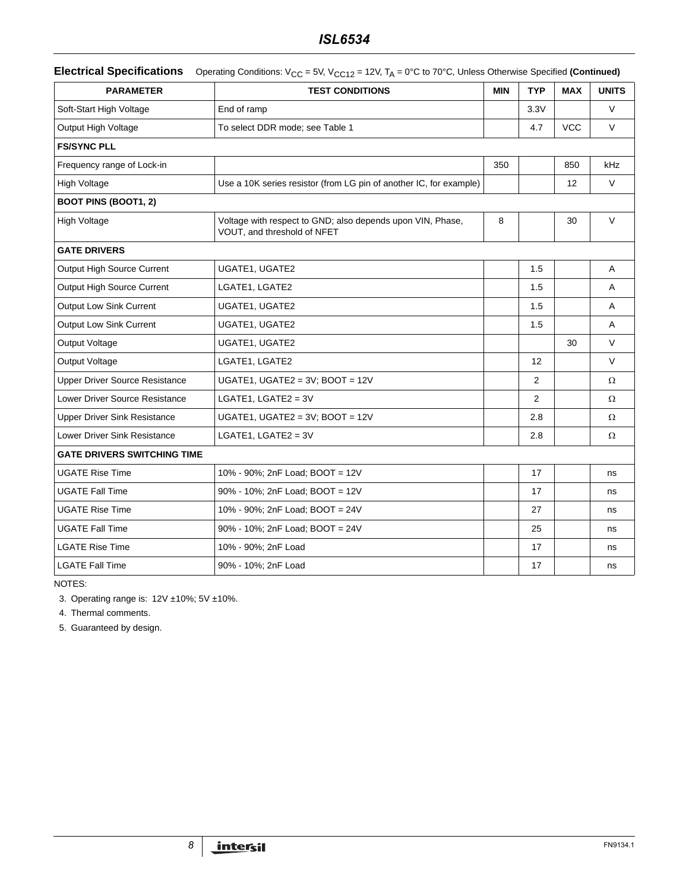|  | <b>Electrical Specifications</b> Operating Conditions: $V_{CC}$ = 5V, $V_{CC12}$ = 12V, $T_A$ = 0°C to 70°C, Unless Otherwise Specified (Continued) |
|--|-----------------------------------------------------------------------------------------------------------------------------------------------------|
|--|-----------------------------------------------------------------------------------------------------------------------------------------------------|

| <b>PARAMETER</b>                      | <b>TEST CONDITIONS</b>                                                                    | <b>MIN</b> | <b>TYP</b>     | <b>MAX</b> | <b>UNITS</b> |
|---------------------------------------|-------------------------------------------------------------------------------------------|------------|----------------|------------|--------------|
| Soft-Start High Voltage               | End of ramp                                                                               |            | 3.3V           |            | $\vee$       |
| Output High Voltage                   | To select DDR mode; see Table 1                                                           |            | 4.7            | <b>VCC</b> | $\vee$       |
| <b>FS/SYNC PLL</b>                    |                                                                                           |            |                |            |              |
| Frequency range of Lock-in            |                                                                                           | 350        |                | 850        | kHz          |
| <b>High Voltage</b>                   | Use a 10K series resistor (from LG pin of another IC, for example)                        |            |                | 12         | $\vee$       |
| <b>BOOT PINS (BOOT1, 2)</b>           |                                                                                           |            |                |            |              |
| <b>High Voltage</b>                   | Voltage with respect to GND; also depends upon VIN, Phase,<br>VOUT, and threshold of NFET | 8          |                | 30         | $\vee$       |
| <b>GATE DRIVERS</b>                   |                                                                                           |            |                |            |              |
| Output High Source Current            | UGATE1, UGATE2                                                                            |            | 1.5            |            | A            |
| Output High Source Current            | LGATE1, LGATE2                                                                            |            | 1.5            |            | A            |
| <b>Output Low Sink Current</b>        | UGATE1, UGATE2                                                                            |            | 1.5            |            | A            |
| <b>Output Low Sink Current</b>        | UGATE1, UGATE2                                                                            |            | 1.5            |            | A            |
| Output Voltage                        | UGATE1, UGATE2                                                                            |            |                | 30         | $\vee$       |
| Output Voltage                        | LGATE1, LGATE2                                                                            |            | 12             |            | $\vee$       |
| <b>Upper Driver Source Resistance</b> | UGATE1, UGATE2 = 3V; BOOT = 12V                                                           |            | 2              |            | $\Omega$     |
| Lower Driver Source Resistance        | LGATE1, LGATE2 = $3V$                                                                     |            | $\overline{2}$ |            | Ω            |
| <b>Upper Driver Sink Resistance</b>   | UGATE1, UGATE2 = $3V$ ; BOOT = 12V                                                        |            | 2.8            |            | Ω            |
| <b>Lower Driver Sink Resistance</b>   | LGATE1, LGATE2 = $3V$                                                                     |            | 2.8            |            | $\Omega$     |
| <b>GATE DRIVERS SWITCHING TIME</b>    |                                                                                           |            |                |            |              |
| <b>UGATE Rise Time</b>                | 10% - 90%; 2nF Load; BOOT = 12V                                                           |            | 17             |            | ns           |
| <b>UGATE Fall Time</b>                | 90% - 10%; 2nF Load; BOOT = 12V                                                           |            | 17             |            | ns           |
| <b>UGATE Rise Time</b>                | 10% - 90%; 2nF Load; BOOT = 24V                                                           |            | 27             |            | ns           |
| <b>UGATE Fall Time</b>                | 90% - 10%; 2nF Load; BOOT = 24V                                                           |            | 25             |            | ns           |
| <b>LGATE Rise Time</b>                | 10% - 90%; 2nF Load                                                                       |            | 17             |            | ns           |
| <b>LGATE Fall Time</b>                | 90% - 10%; 2nF Load                                                                       |            | 17             |            | ns           |

NOTES:

<span id="page-7-0"></span>3. Operating range is: 12V ±10%; 5V ±10%.

4. Thermal comments.

<span id="page-7-1"></span>5. Guaranteed by design.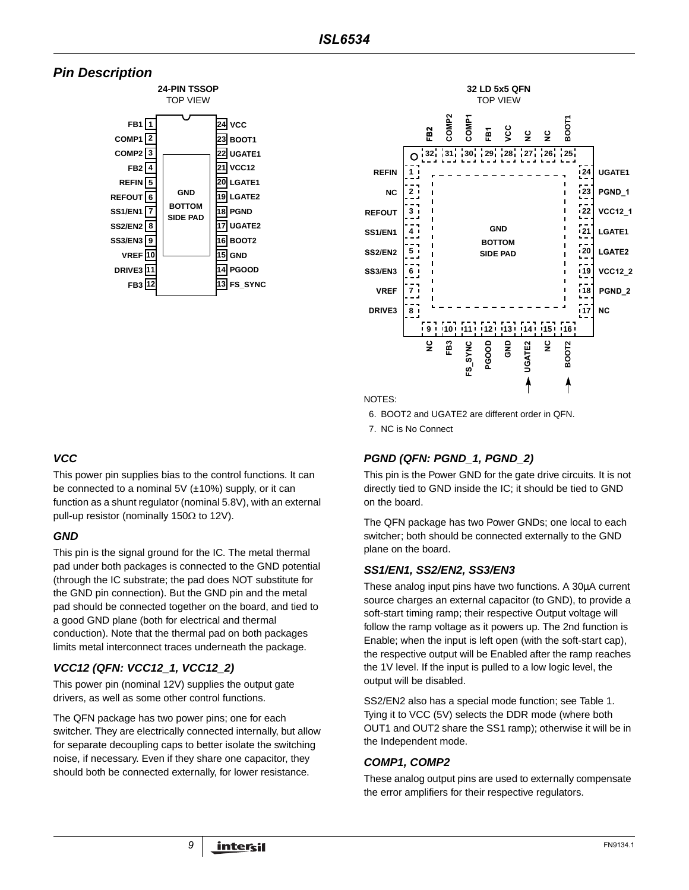# **Pin Description**





NOTES:

6. BOOT2 and UGATE2 are different order in QFN.

7. NC is No Connect

## **PGND (QFN: PGND\_1, PGND\_2)**

This pin is the Power GND for the gate drive circuits. It is not directly tied to GND inside the IC; it should be tied to GND on the board.

The QFN package has two Power GNDs; one local to each switcher; both should be connected externally to the GND plane on the board.

### **SS1/EN1, SS2/EN2, SS3/EN3**

These analog input pins have two functions. A 30µA current source charges an external capacitor (to GND), to provide a soft-start timing ramp; their respective Output voltage will follow the ramp voltage as it powers up. The 2nd function is Enable; when the input is left open (with the soft-start cap), the respective output will be Enabled after the ramp reaches the 1V level. If the input is pulled to a low logic level, the output will be disabled.

SS2/EN2 also has a special mode function; see Table 1. Tying it to VCC (5V) selects the DDR mode (where both OUT1 and OUT2 share the SS1 ramp); otherwise it will be in the Independent mode.

### **COMP1, COMP2**

These analog output pins are used to externally compensate the error amplifiers for their respective regulators.

# **VCC**

This power pin supplies bias to the control functions. It can be connected to a nominal 5V  $(\pm 10\%)$  supply, or it can function as a shunt regulator (nominal 5.8V), with an external pull-up resistor (nominally 150Ω to 12V).

## **GND**

This pin is the signal ground for the IC. The metal thermal pad under both packages is connected to the GND potential (through the IC substrate; the pad does NOT substitute for the GND pin connection). But the GND pin and the metal pad should be connected together on the board, and tied to a good GND plane (both for electrical and thermal conduction). Note that the thermal pad on both packages limits metal interconnect traces underneath the package.

# **VCC12 (QFN: VCC12\_1, VCC12\_2)**

This power pin (nominal 12V) supplies the output gate drivers, as well as some other control functions.

The QFN package has two power pins; one for each switcher. They are electrically connected internally, but allow for separate decoupling caps to better isolate the switching noise, if necessary. Even if they share one capacitor, they should both be connected externally, for lower resistance.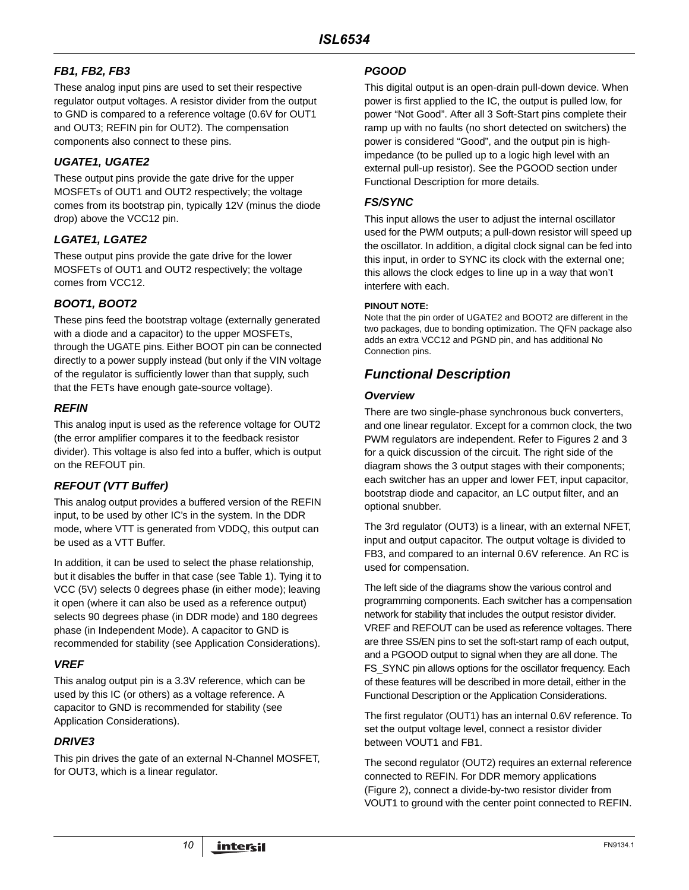# **FB1, FB2, FB3**

These analog input pins are used to set their respective regulator output voltages. A resistor divider from the output to GND is compared to a reference voltage (0.6V for OUT1 and OUT3; REFIN pin for OUT2). The compensation components also connect to these pins.

## **UGATE1, UGATE2**

These output pins provide the gate drive for the upper MOSFETs of OUT1 and OUT2 respectively; the voltage comes from its bootstrap pin, typically 12V (minus the diode drop) above the VCC12 pin.

## **LGATE1, LGATE2**

These output pins provide the gate drive for the lower MOSFETs of OUT1 and OUT2 respectively; the voltage comes from VCC12.

## **BOOT1, BOOT2**

These pins feed the bootstrap voltage (externally generated with a diode and a capacitor) to the upper MOSFETs, through the UGATE pins. Either BOOT pin can be connected directly to a power supply instead (but only if the VIN voltage of the regulator is sufficiently lower than that supply, such that the FETs have enough gate-source voltage).

## **REFIN**

This analog input is used as the reference voltage for OUT2 (the error amplifier compares it to the feedback resistor divider). This voltage is also fed into a buffer, which is output on the REFOUT pin.

## **REFOUT (VTT Buffer)**

This analog output provides a buffered version of the REFIN input, to be used by other IC's in the system. In the DDR mode, where VTT is generated from VDDQ, this output can be used as a VTT Buffer.

In addition, it can be used to select the phase relationship, but it disables the buffer in that case (see Table 1). Tying it to VCC (5V) selects 0 degrees phase (in either mode); leaving it open (where it can also be used as a reference output) selects 90 degrees phase (in DDR mode) and 180 degrees phase (in Independent Mode). A capacitor to GND is recommended for stability (see Application Considerations).

## **VREF**

This analog output pin is a 3.3V reference, which can be used by this IC (or others) as a voltage reference. A capacitor to GND is recommended for stability (see Application Considerations).

## **DRIVE3**

This pin drives the gate of an external N-Channel MOSFET, for OUT3, which is a linear regulator.

## **PGOOD**

This digital output is an open-drain pull-down device. When power is first applied to the IC, the output is pulled low, for power "Not Good". After all 3 Soft-Start pins complete their ramp up with no faults (no short detected on switchers) the power is considered "Good", and the output pin is highimpedance (to be pulled up to a logic high level with an external pull-up resistor). See the PGOOD section under Functional Description for more details.

## **FS/SYNC**

This input allows the user to adjust the internal oscillator used for the PWM outputs; a pull-down resistor will speed up the oscillator. In addition, a digital clock signal can be fed into this input, in order to SYNC its clock with the external one; this allows the clock edges to line up in a way that won't interfere with each.

#### **PINOUT NOTE:**

Note that the pin order of UGATE2 and BOOT2 are different in the two packages, due to bonding optimization. The QFN package also adds an extra VCC12 and PGND pin, and has additional No Connection pins.

# **Functional Description**

### **Overview**

There are two single-phase synchronous buck converters, and one linear regulator. Except for a common clock, the two PWM regulators are independent. Refer to Figures 2 and [3](#page-4-0)  for a quick discussion of the circuit. The right side of the diagram shows the 3 output stages with their components; each switcher has an upper and lower FET, input capacitor, bootstrap diode and capacitor, an LC output filter, and an optional snubber.

The 3rd regulator (OUT3) is a linear, with an external NFET, input and output capacitor. The output voltage is divided to FB3, and compared to an internal 0.6V reference. An RC is used for compensation.

The left side of the diagrams show the various control and programming components. Each switcher has a compensation network for stability that includes the output resistor divider. VREF and REFOUT can be used as reference voltages. There are three SS/EN pins to set the soft-start ramp of each output, and a PGOOD output to signal when they are all done. The FS SYNC pin allows options for the oscillator frequency. Each of these features will be described in more detail, either in the Functional Description or the Application Considerations.

The first regulator (OUT1) has an internal 0.6V reference. To set the output voltage level, connect a resistor divider between VOUT1 and FB1.

The second regulator (OUT2) requires an external reference connected to REFIN. For DDR memory applications (Figure 2), connect a divide-by-two resistor divider from VOUT1 to ground with the center point connected to REFIN.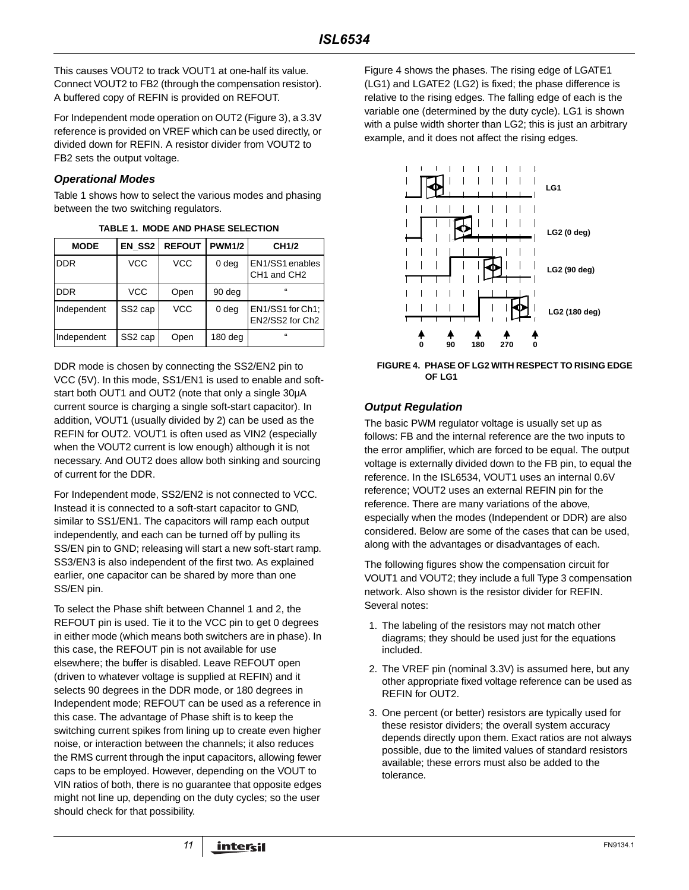This causes VOUT2 to track VOUT1 at one-half its value. Connect VOUT2 to FB2 (through the compensation resistor). A buffered copy of REFIN is provided on REFOUT.

For Independent mode operation on OUT2 (Figure [3\)](#page-4-0), a 3.3V reference is provided on VREF which can be used directly, or divided down for REFIN. A resistor divider from VOUT2 to FB2 sets the output voltage.

### **Operational Modes**

Table 1 shows how to select the various modes and phasing between the two switching regulators.

| <b>MODE</b> | EN SS2              | <b>REFOUT</b> | <b>PWM1/2</b>    | CH <sub>1</sub> /2                                     |
|-------------|---------------------|---------------|------------------|--------------------------------------------------------|
| <b>DDR</b>  | <b>VCC</b>          | <b>VCC</b>    | 0 deg            | EN1/SS1 enables<br>CH <sub>1</sub> and CH <sub>2</sub> |
| <b>DDR</b>  | <b>VCC</b>          | Open          | 90 deg           | $\epsilon$                                             |
| Independent | SS <sub>2</sub> cap | <b>VCC</b>    | 0 <sub>deg</sub> | EN1/SS1 for Ch1;<br>EN2/SS2 for Ch2                    |
| Independent | SS2 cap             | Open          | $180$ deg        | $\mathbf{f}$                                           |

**TABLE 1. MODE AND PHASE SELECTION**

DDR mode is chosen by connecting the SS2/EN2 pin to VCC (5V). In this mode, SS1/EN1 is used to enable and softstart both OUT1 and OUT2 (note that only a single 30µA current source is charging a single soft-start capacitor). In addition, VOUT1 (usually divided by 2) can be used as the REFIN for OUT2. VOUT1 is often used as VIN2 (especially when the VOUT2 current is low enough) although it is not necessary. And OUT2 does allow both sinking and sourcing of current for the DDR.

For Independent mode, SS2/EN2 is not connected to VCC. Instead it is connected to a soft-start capacitor to GND, similar to SS1/EN1. The capacitors will ramp each output independently, and each can be turned off by pulling its SS/EN pin to GND; releasing will start a new soft-start ramp. SS3/EN3 is also independent of the first two. As explained earlier, one capacitor can be shared by more than one SS/EN pin.

To select the Phase shift between Channel 1 and 2, the REFOUT pin is used. Tie it to the VCC pin to get 0 degrees in either mode (which means both switchers are in phase). In this case, the REFOUT pin is not available for use elsewhere; the buffer is disabled. Leave REFOUT open (driven to whatever voltage is supplied at REFIN) and it selects 90 degrees in the DDR mode, or 180 degrees in Independent mode; REFOUT can be used as a reference in this case. The advantage of Phase shift is to keep the switching current spikes from lining up to create even higher noise, or interaction between the channels; it also reduces the RMS current through the input capacitors, allowing fewer caps to be employed. However, depending on the VOUT to VIN ratios of both, there is no guarantee that opposite edges might not line up, depending on the duty cycles; so the user should check for that possibility.

Figure 4 shows the phases. The rising edge of LGATE1 (LG1) and LGATE2 (LG2) is fixed; the phase difference is relative to the rising edges. The falling edge of each is the variable one (determined by the duty cycle). LG1 is shown with a pulse width shorter than LG2; this is just an arbitrary example, and it does not affect the rising edges.



**FIGURE 4. PHASE OF LG2 WITH RESPECT TO RISING EDGE OF LG1**

## **Output Regulation**

The basic PWM regulator voltage is usually set up as follows: FB and the internal reference are the two inputs to the error amplifier, which are forced to be equal. The output voltage is externally divided down to the FB pin, to equal the reference. In the ISL6534, VOUT1 uses an internal 0.6V reference; VOUT2 uses an external REFIN pin for the reference. There are many variations of the above, especially when the modes (Independent or DDR) are also considered. Below are some of the cases that can be used, along with the advantages or disadvantages of each.

The following figures show the compensation circuit for VOUT1 and VOUT2; they include a full Type 3 compensation network. Also shown is the resistor divider for REFIN. Several notes:

- 1. The labeling of the resistors may not match other diagrams; they should be used just for the equations included.
- 2. The VREF pin (nominal 3.3V) is assumed here, but any other appropriate fixed voltage reference can be used as REFIN for OUT2.
- 3. One percent (or better) resistors are typically used for these resistor dividers; the overall system accuracy depends directly upon them. Exact ratios are not always possible, due to the limited values of standard resistors available; these errors must also be added to the tolerance.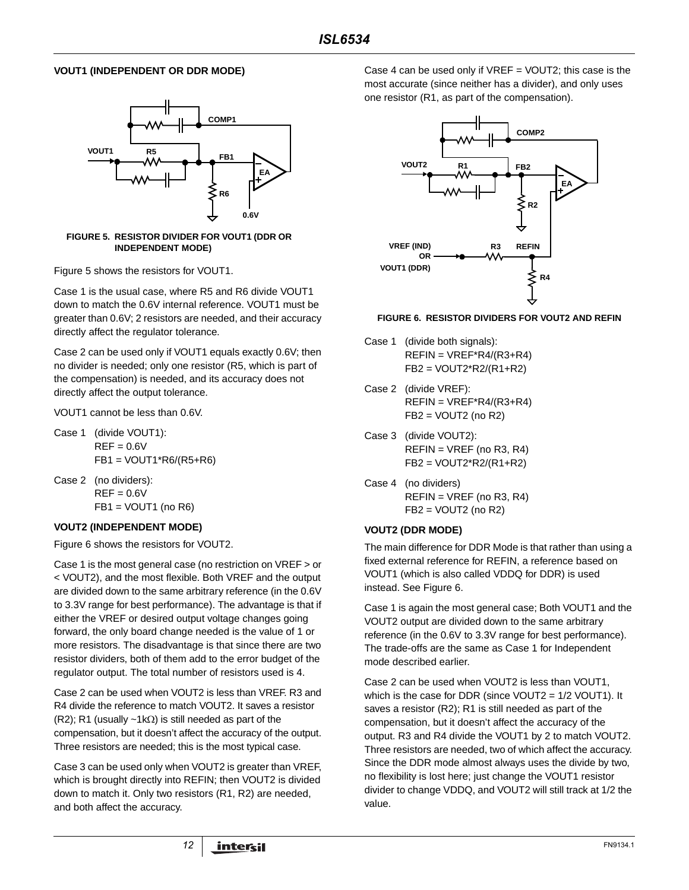### **VOUT1 (INDEPENDENT OR DDR MODE)**



#### <span id="page-11-0"></span>**FIGURE 5. RESISTOR DIVIDER FOR VOUT1 (DDR OR INDEPENDENT MODE)**

Figure [5](#page-11-0) shows the resistors for VOUT1.

Case 1 is the usual case, where R5 and R6 divide VOUT1 down to match the 0.6V internal reference. VOUT1 must be greater than 0.6V; 2 resistors are needed, and their accuracy directly affect the regulator tolerance.

Case 2 can be used only if VOUT1 equals exactly 0.6V; then no divider is needed; only one resistor (R5, which is part of the compensation) is needed, and its accuracy does not directly affect the output tolerance.

VOUT1 cannot be less than 0.6V.

- Case 1 (divide VOUT1):  $REF = 0.6V$ FB1 = VOUT1\*R6/(R5+R6)
- Case 2 (no dividers):  $REF = 0.6V$  $FB1 = VOUT1$  (no R6)

### **VOUT2 (INDEPENDENT MODE)**

Figure 6 shows the resistors for VOUT2.

Case 1 is the most general case (no restriction on VREF > or < VOUT2), and the most flexible. Both VREF and the output are divided down to the same arbitrary reference (in the 0.6V to 3.3V range for best performance). The advantage is that if either the VREF or desired output voltage changes going forward, the only board change needed is the value of 1 or more resistors. The disadvantage is that since there are two resistor dividers, both of them add to the error budget of the regulator output. The total number of resistors used is 4.

Case 2 can be used when VOUT2 is less than VREF. R3 and R4 divide the reference to match VOUT2. It saves a resistor (R2); R1 (usually ~1k $\Omega$ ) is still needed as part of the compensation, but it doesn't affect the accuracy of the output. Three resistors are needed; this is the most typical case.

Case 3 can be used only when VOUT2 is greater than VREF, which is brought directly into REFIN; then VOUT2 is divided down to match it. Only two resistors (R1, R2) are needed, and both affect the accuracy.

Case 4 can be used only if  $VREF = VOUT2$ ; this case is the most accurate (since neither has a divider), and only uses one resistor (R1, as part of the compensation).



#### **FIGURE 6. RESISTOR DIVIDERS FOR VOUT2 AND REFIN**

- Case 1 (divide both signals):  $REFIN = VREF*R4/(R3+R4)$ FB2 = VOUT2\*R2/(R1+R2)
- Case 2 (divide VREF):  $REFIN = VREF*R4/(R3+R4)$  $FB2 = VOUT2$  (no R2)
- Case 3 (divide VOUT2):  $REFIN = VREF$  (no R3, R4) FB2 = VOUT2\*R2/(R1+R2)
- Case 4 (no dividers)  $REFIN = VREF$  (no R3, R4)  $FB2 = VOUT2$  (no R2)

### **VOUT2 (DDR MODE)**

The main difference for DDR Mode is that rather than using a fixed external reference for REFIN, a reference based on VOUT1 (which is also called VDDQ for DDR) is used instead. See Figure 6.

Case 1 is again the most general case; Both VOUT1 and the VOUT2 output are divided down to the same arbitrary reference (in the 0.6V to 3.3V range for best performance). The trade-offs are the same as Case 1 for Independent mode described earlier.

Case 2 can be used when VOUT2 is less than VOUT1, which is the case for DDR (since VOUT2 = 1/2 VOUT1). It saves a resistor (R2); R1 is still needed as part of the compensation, but it doesn't affect the accuracy of the output. R3 and R4 divide the VOUT1 by 2 to match VOUT2. Three resistors are needed, two of which affect the accuracy. Since the DDR mode almost always uses the divide by two, no flexibility is lost here; just change the VOUT1 resistor divider to change VDDQ, and VOUT2 will still track at 1/2 the value.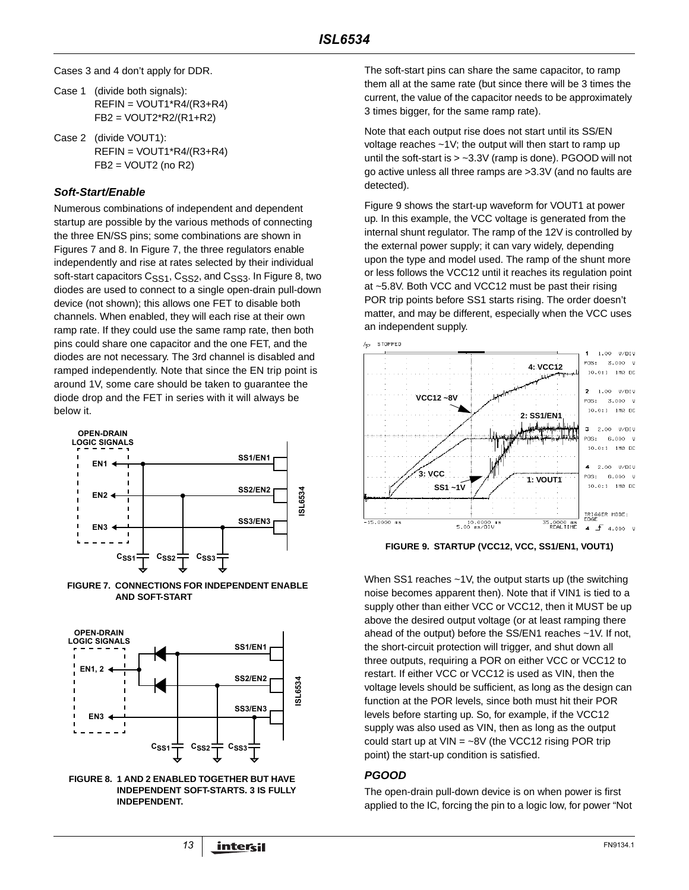Cases 3 and 4 don't apply for DDR.

- Case 1 (divide both signals):  $REFIN = VOUT1*R4/(R3+R4)$ FB2 = VOUT2\*R2/(R1+R2)
- Case 2 (divide VOUT1): REFIN = VOUT1\*R4/(R3+R4)  $FB2 = VOUT2$  (no R2)

## **Soft-Start/Enable**

Numerous combinations of independent and dependent startup are possible by the various methods of connecting the three EN/SS pins; some combinations are shown in Figures 7 and 8. In Figure 7, the three regulators enable independently and rise at rates selected by their individual soft-start capacitors C<sub>SS1</sub>, C<sub>SS2</sub>, and C<sub>SS3</sub>. In Figure 8, two diodes are used to connect to a single open-drain pull-down device (not shown); this allows one FET to disable both channels. When enabled, they will each rise at their own ramp rate. If they could use the same ramp rate, then both pins could share one capacitor and the one FET, and the diodes are not necessary. The 3rd channel is disabled and ramped independently. Note that since the EN trip point is around 1V, some care should be taken to guarantee the diode drop and the FET in series with it will always be below it.







**FIGURE 8. 1 AND 2 ENABLED TOGETHER BUT HAVE INDEPENDENT SOFT-STARTS. 3 IS FULLY INDEPENDENT.**

The soft-start pins can share the same capacitor, to ramp them all at the same rate (but since there will be 3 times the current, the value of the capacitor needs to be approximately 3 times bigger, for the same ramp rate).

Note that each output rise does not start until its SS/EN voltage reaches ~1V; the output will then start to ramp up until the soft-start is > ~3.3V (ramp is done). PGOOD will not go active unless all three ramps are >3.3V (and no faults are detected).

Figure 9 shows the start-up waveform for VOUT1 at power up. In this example, the VCC voltage is generated from the internal shunt regulator. The ramp of the 12V is controlled by the external power supply; it can vary widely, depending upon the type and model used. The ramp of the shunt more or less follows the VCC12 until it reaches its regulation point at ~5.8V. Both VCC and VCC12 must be past their rising POR trip points before SS1 starts rising. The order doesn't matter, and may be different, especially when the VCC uses an independent supply.



**FIGURE 9. STARTUP (VCC12, VCC, SS1/EN1, VOUT1)**

When SS1 reaches ~1V, the output starts up (the switching noise becomes apparent then). Note that if VIN1 is tied to a supply other than either VCC or VCC12, then it MUST be up above the desired output voltage (or at least ramping there ahead of the output) before the SS/EN1 reaches ~1V. If not, the short-circuit protection will trigger, and shut down all three outputs, requiring a POR on either VCC or VCC12 to restart. If either VCC or VCC12 is used as VIN, then the voltage levels should be sufficient, as long as the design can function at the POR levels, since both must hit their POR levels before starting up. So, for example, if the VCC12 supply was also used as VIN, then as long as the output could start up at  $VIN = -8V$  (the VCC12 rising POR trip point) the start-up condition is satisfied.

## **PGOOD**

The open-drain pull-down device is on when power is first applied to the IC, forcing the pin to a logic low, for power "Not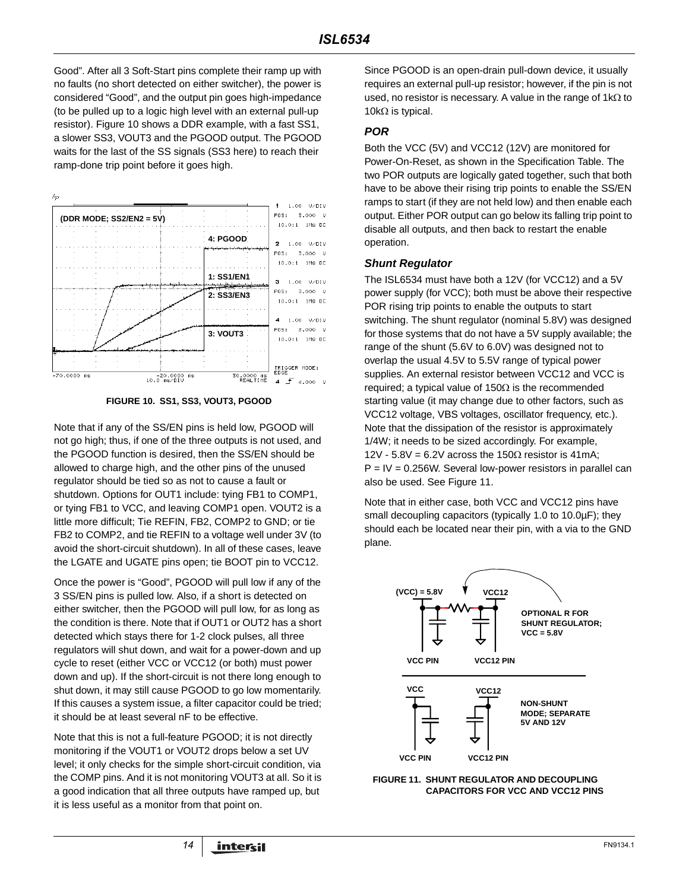Good". After all 3 Soft-Start pins complete their ramp up with no faults (no short detected on either switcher), the power is considered "Good", and the output pin goes high-impedance (to be pulled up to a logic high level with an external pull-up resistor). Figure 10 shows a DDR example, with a fast SS1, a slower SS3, VOUT3 and the PGOOD output. The PGOOD waits for the last of the SS signals (SS3 here) to reach their ramp-done trip point before it goes high.





Note that if any of the SS/EN pins is held low, PGOOD will not go high; thus, if one of the three outputs is not used, and the PGOOD function is desired, then the SS/EN should be allowed to charge high, and the other pins of the unused regulator should be tied so as not to cause a fault or shutdown. Options for OUT1 include: tying FB1 to COMP1, or tying FB1 to VCC, and leaving COMP1 open. VOUT2 is a little more difficult; Tie REFIN, FB2, COMP2 to GND; or tie FB2 to COMP2, and tie REFIN to a voltage well under 3V (to avoid the short-circuit shutdown). In all of these cases, leave the LGATE and UGATE pins open; tie BOOT pin to VCC12.

Once the power is "Good", PGOOD will pull low if any of the 3 SS/EN pins is pulled low. Also, if a short is detected on either switcher, then the PGOOD will pull low, for as long as the condition is there. Note that if OUT1 or OUT2 has a short detected which stays there for 1-2 clock pulses, all three regulators will shut down, and wait for a power-down and up cycle to reset (either VCC or VCC12 (or both) must power down and up). If the short-circuit is not there long enough to shut down, it may still cause PGOOD to go low momentarily. If this causes a system issue, a filter capacitor could be tried; it should be at least several nF to be effective.

Note that this is not a full-feature PGOOD; it is not directly monitoring if the VOUT1 or VOUT2 drops below a set UV level; it only checks for the simple short-circuit condition, via the COMP pins. And it is not monitoring VOUT3 at all. So it is a good indication that all three outputs have ramped up, but it is less useful as a monitor from that point on.

Since PGOOD is an open-drain pull-down device, it usually requires an external pull-up resistor; however, if the pin is not used, no resistor is necessary. A value in the range of 1kΩ to 10kΩ is typical.

### **POR**

Both the VCC (5V) and VCC12 (12V) are monitored for Power-On-Reset, as shown in the Specification Table. The two POR outputs are logically gated together, such that both have to be above their rising trip points to enable the SS/EN ramps to start (if they are not held low) and then enable each output. Either POR output can go below its falling trip point to disable all outputs, and then back to restart the enable operation.

#### **Shunt Regulator**

The ISL6534 must have both a 12V (for VCC12) and a 5V power supply (for VCC); both must be above their respective POR rising trip points to enable the outputs to start switching. The shunt regulator (nominal 5.8V) was designed for those systems that do not have a 5V supply available; the range of the shunt (5.6V to 6.0V) was designed not to overlap the usual 4.5V to 5.5V range of typical power supplies. An external resistor between VCC12 and VCC is required; a typical value of 150 $Ω$  is the recommended starting value (it may change due to other factors, such as VCC12 voltage, VBS voltages, oscillator frequency, etc.). Note that the dissipation of the resistor is approximately 1/4W; it needs to be sized accordingly. For example, 12V - 5.8V = 6.2V across the 150 $\Omega$  resistor is 41mA;  $P = IV = 0.256$ W. Several low-power resistors in parallel can also be used. See Figure 11.

Note that in either case, both VCC and VCC12 pins have small decoupling capacitors (typically 1.0 to 10.0µF); they should each be located near their pin, with a via to the GND plane.



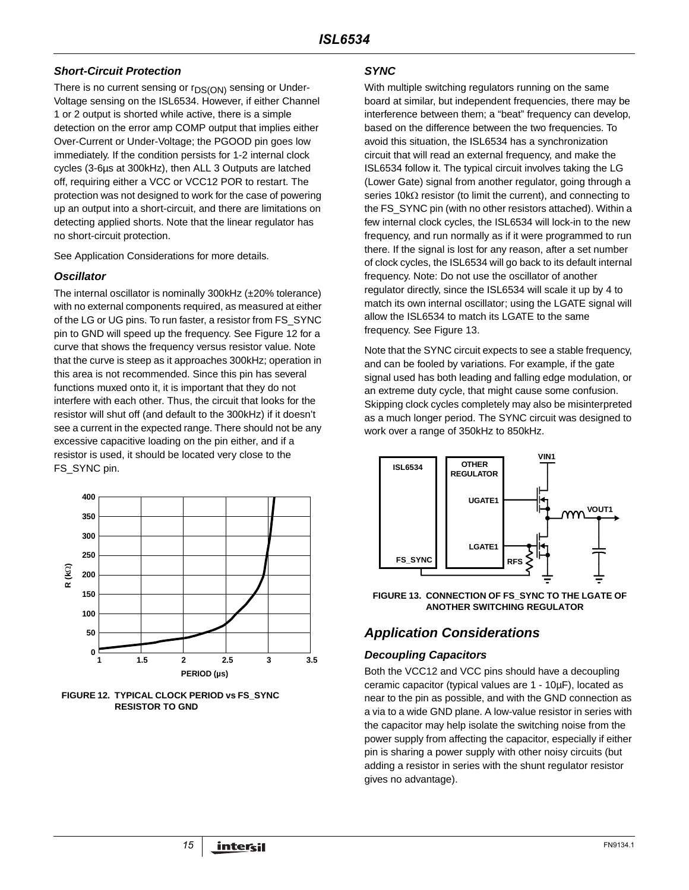## **Short-Circuit Protection**

There is no current sensing or  $r_{DS(ON)}$  sensing or Under-Voltage sensing on the ISL6534. However, if either Channel 1 or 2 output is shorted while active, there is a simple detection on the error amp COMP output that implies either Over-Current or Under-Voltage; the PGOOD pin goes low immediately. If the condition persists for 1-2 internal clock cycles (3-6µs at 300kHz), then ALL 3 Outputs are latched off, requiring either a VCC or VCC12 POR to restart. The protection was not designed to work for the case of powering up an output into a short-circuit, and there are limitations on detecting applied shorts. Note that the linear regulator has no short-circuit protection.

See Application Considerations for more details.

## **Oscillator**

The internal oscillator is nominally 300kHz (±20% tolerance) with no external components required, as measured at either of the LG or UG pins. To run faster, a resistor from FS\_SYNC pin to GND will speed up the frequency. See Figure 12 for a curve that shows the frequency versus resistor value. Note that the curve is steep as it approaches 300kHz; operation in this area is not recommended. Since this pin has several functions muxed onto it, it is important that they do not interfere with each other. Thus, the circuit that looks for the resistor will shut off (and default to the 300kHz) if it doesn't see a current in the expected range. There should not be any excessive capacitive loading on the pin either, and if a resistor is used, it should be located very close to the FS\_SYNC pin.



**FIGURE 12. TYPICAL CLOCK PERIOD vs FS\_SYNC RESISTOR TO GND**

#### **SYNC**

With multiple switching regulators running on the same board at similar, but independent frequencies, there may be interference between them; a "beat" frequency can develop, based on the difference between the two frequencies. To avoid this situation, the ISL6534 has a synchronization circuit that will read an external frequency, and make the ISL6534 follow it. The typical circuit involves taking the LG (Lower Gate) signal from another regulator, going through a series 10k $\Omega$  resistor (to limit the current), and connecting to the FS\_SYNC pin (with no other resistors attached). Within a few internal clock cycles, the ISL6534 will lock-in to the new frequency, and run normally as if it were programmed to run there. If the signal is lost for any reason, after a set number of clock cycles, the ISL6534 will go back to its default internal frequency. Note: Do not use the oscillator of another regulator directly, since the ISL6534 will scale it up by 4 to match its own internal oscillator; using the LGATE signal will allow the ISL6534 to match its LGATE to the same frequency. See Figure 13.

Note that the SYNC circuit expects to see a stable frequency, and can be fooled by variations. For example, if the gate signal used has both leading and falling edge modulation, or an extreme duty cycle, that might cause some confusion. Skipping clock cycles completely may also be misinterpreted as a much longer period. The SYNC circuit was designed to work over a range of 350kHz to 850kHz.



**FIGURE 13. CONNECTION OF FS\_SYNC TO THE LGATE OF ANOTHER SWITCHING REGULATOR**

# **Application Considerations**

## **Decoupling Capacitors**

Both the VCC12 and VCC pins should have a decoupling ceramic capacitor (typical values are 1 - 10µF), located as near to the pin as possible, and with the GND connection as a via to a wide GND plane. A low-value resistor in series with the capacitor may help isolate the switching noise from the power supply from affecting the capacitor, especially if either pin is sharing a power supply with other noisy circuits (but adding a resistor in series with the shunt regulator resistor gives no advantage).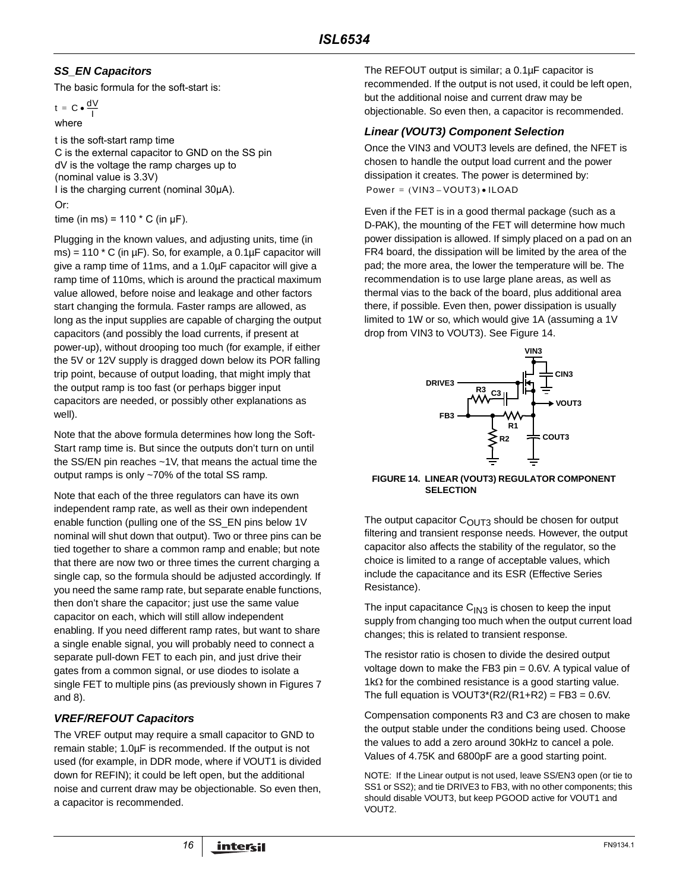# **SS\_EN Capacitors**

The basic formula for the soft-start is:

 $t = C \cdot \frac{dV}{I}$ 

where

t is the soft-start ramp time C is the external capacitor to GND on the SS pin dV is the voltage the ramp charges up to (nominal value is 3.3V) I is the charging current (nominal 30µA). time (in ms) =  $110 \times C$  (in  $\mu$ F). Or:

Plugging in the known values, and adjusting units, time (in ms) = 110  $*$  C (in  $\mu$ F). So, for example, a 0.1 $\mu$ F capacitor will give a ramp time of 11ms, and a 1.0µF capacitor will give a ramp time of 110ms, which is around the practical maximum value allowed, before noise and leakage and other factors start changing the formula. Faster ramps are allowed, as long as the input supplies are capable of charging the output capacitors (and possibly the load currents, if present at power-up), without drooping too much (for example, if either the 5V or 12V supply is dragged down below its POR falling trip point, because of output loading, that might imply that the output ramp is too fast (or perhaps bigger input capacitors are needed, or possibly other explanations as well).

Note that the above formula determines how long the Soft-Start ramp time is. But since the outputs don't turn on until the SS/EN pin reaches ~1V, that means the actual time the output ramps is only ~70% of the total SS ramp.

Note that each of the three regulators can have its own independent ramp rate, as well as their own independent enable function (pulling one of the SS\_EN pins below 1V nominal will shut down that output). Two or three pins can be tied together to share a common ramp and enable; but note that there are now two or three times the current charging a single cap, so the formula should be adjusted accordingly. If you need the same ramp rate, but separate enable functions, then don't share the capacitor; just use the same value capacitor on each, which will still allow independent enabling. If you need different ramp rates, but want to share a single enable signal, you will probably need to connect a separate pull-down FET to each pin, and just drive their gates from a common signal, or use diodes to isolate a single FET to multiple pins (as previously shown in Figures 7 and 8).

# **VREF/REFOUT Capacitors**

The VREF output may require a small capacitor to GND to remain stable; 1.0µF is recommended. If the output is not used (for example, in DDR mode, where if VOUT1 is divided down for REFIN); it could be left open, but the additional noise and current draw may be objectionable. So even then, a capacitor is recommended.

The REFOUT output is similar; a 0.1µF capacitor is recommended. If the output is not used, it could be left open, but the additional noise and current draw may be objectionable. So even then, a capacitor is recommended.

## **Linear (VOUT3) Component Selection**

Once the VIN3 and VOUT3 levels are defined, the NFET is chosen to handle the output load current and the power dissipation it creates. The power is determined by:  $Power = (VIN3 - VOUT3) \cdot ILOAD$ 

Even if the FET is in a good thermal package (such as a D-PAK), the mounting of the FET will determine how much power dissipation is allowed. If simply placed on a pad on an FR4 board, the dissipation will be limited by the area of the pad; the more area, the lower the temperature will be. The recommendation is to use large plane areas, as well as thermal vias to the back of the board, plus additional area there, if possible. Even then, power dissipation is usually limited to 1W or so, which would give 1A (assuming a 1V drop from VIN3 to VOUT3). See Figure 14.



#### **FIGURE 14. LINEAR (VOUT3) REGULATOR COMPONENT SELECTION**

The output capacitor  $C<sub>OUT3</sub>$  should be chosen for output filtering and transient response needs. However, the output capacitor also affects the stability of the regulator, so the choice is limited to a range of acceptable values, which include the capacitance and its ESR (Effective Series Resistance).

The input capacitance  $C_{1N3}$  is chosen to keep the input supply from changing too much when the output current load changes; this is related to transient response.

The resistor ratio is chosen to divide the desired output voltage down to make the FB3 pin = 0.6V. A typical value of 1kΩ for the combined resistance is a good starting value. The full equation is  $VOUT3*(R2/(R1+R2) = FB3 = 0.6V$ .

Compensation components R3 and C3 are chosen to make the output stable under the conditions being used. Choose the values to add a zero around 30kHz to cancel a pole. Values of 4.75K and 6800pF are a good starting point.

NOTE: If the Linear output is not used, leave SS/EN3 open (or tie to SS1 or SS2); and tie DRIVE3 to FB3, with no other components; this should disable VOUT3, but keep PGOOD active for VOUT1 and VOUT2.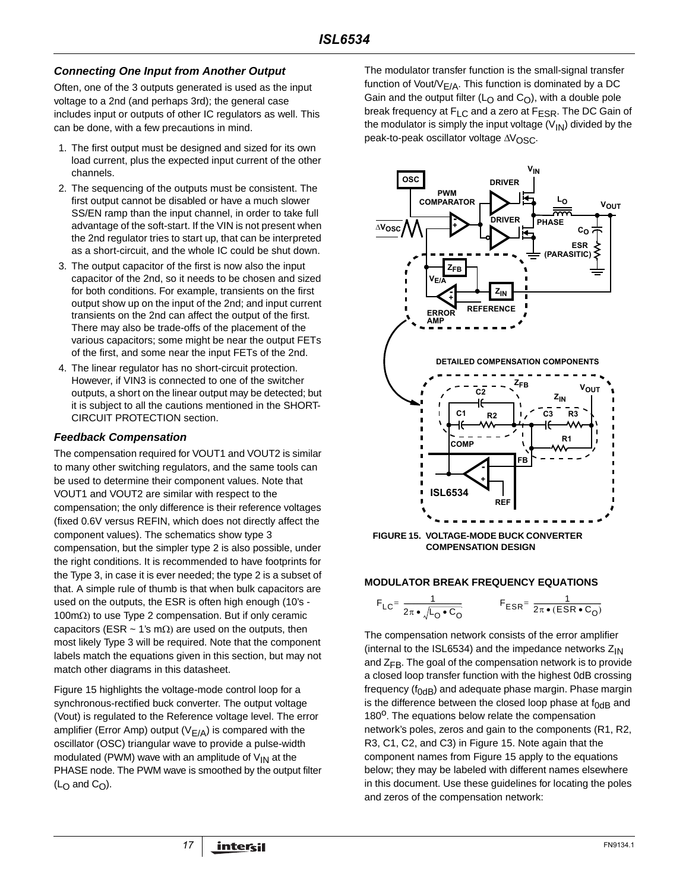## **Connecting One Input from Another Output**

Often, one of the 3 outputs generated is used as the input voltage to a 2nd (and perhaps 3rd); the general case includes input or outputs of other IC regulators as well. This can be done, with a few precautions in mind.

- 1. The first output must be designed and sized for its own load current, plus the expected input current of the other channels.
- 2. The sequencing of the outputs must be consistent. The first output cannot be disabled or have a much slower SS/EN ramp than the input channel, in order to take full advantage of the soft-start. If the VIN is not present when the 2nd regulator tries to start up, that can be interpreted as a short-circuit, and the whole IC could be shut down.
- 3. The output capacitor of the first is now also the input capacitor of the 2nd, so it needs to be chosen and sized for both conditions. For example, transients on the first output show up on the input of the 2nd; and input current transients on the 2nd can affect the output of the first. There may also be trade-offs of the placement of the various capacitors; some might be near the output FETs of the first, and some near the input FETs of the 2nd.
- 4. The linear regulator has no short-circuit protection. However, if VIN3 is connected to one of the switcher outputs, a short on the linear output may be detected; but it is subject to all the cautions mentioned in the SHORT-CIRCUIT PROTECTION section.

#### **Feedback Compensation**

The compensation required for VOUT1 and VOUT2 is similar to many other switching regulators, and the same tools can be used to determine their component values. Note that VOUT1 and VOUT2 are similar with respect to the compensation; the only difference is their reference voltages (fixed 0.6V versus REFIN, which does not directly affect the component values). The schematics show type 3 compensation, but the simpler type 2 is also possible, under the right conditions. It is recommended to have footprints for the Type 3, in case it is ever needed; the type 2 is a subset of that. A simple rule of thumb is that when bulk capacitors are used on the outputs, the ESR is often high enough (10's - 100mΩ) to use Type 2 compensation. But if only ceramic capacitors (ESR  $\sim$  1's m $\Omega$ ) are used on the outputs, then most likely Type 3 will be required. Note that the component labels match the equations given in this section, but may not match other diagrams in this datasheet.

Figure 15 highlights the voltage-mode control loop for a synchronous-rectified buck converter. The output voltage (Vout) is regulated to the Reference voltage level. The error amplifier (Error Amp) output ( $V_{E/A}$ ) is compared with the oscillator (OSC) triangular wave to provide a pulse-width modulated (PWM) wave with an amplitude of  $V_{IN}$  at the PHASE node. The PWM wave is smoothed by the output filter  $(L<sub>O</sub>$  and  $C<sub>O</sub>)$ .

The modulator transfer function is the small-signal transfer function of Vout/ $V_{E/A}$ . This function is dominated by a DC Gain and the output filter ( $L<sub>O</sub>$  and  $C<sub>O</sub>$ ), with a double pole break frequency at F<sub>LC</sub> and a zero at F<sub>ESR</sub>. The DC Gain of the modulator is simply the input voltage  $(V_{1N})$  divided by the peak-to-peak oscillator voltage ∆V<sub>OSC</sub>.



#### **MODULATOR BREAK FREQUENCY EQUATIONS**

$$
F_{LC} = \frac{1}{2\pi \cdot \sqrt{L_0 \cdot C_0}}
$$
  

$$
F_{ESR} = \frac{1}{2\pi \cdot (ESR \cdot C_0)}
$$

The compensation network consists of the error amplifier (internal to the ISL6534) and the impedance networks  $Z_{IN}$ and  $Z_{FB}$ . The goal of the compensation network is to provide a closed loop transfer function with the highest 0dB crossing frequency ( $f_{OdB}$ ) and adequate phase margin. Phase margin is the difference between the closed loop phase at  $f_{0dB}$  and 180<sup>o</sup>. The equations below relate the compensation network's poles, zeros and gain to the components (R1, R2, R3, C1, C2, and C3) in Figure 15. Note again that the component names from Figure 15 apply to the equations below; they may be labeled with different names elsewhere in this document. Use these guidelines for locating the poles and zeros of the compensation network: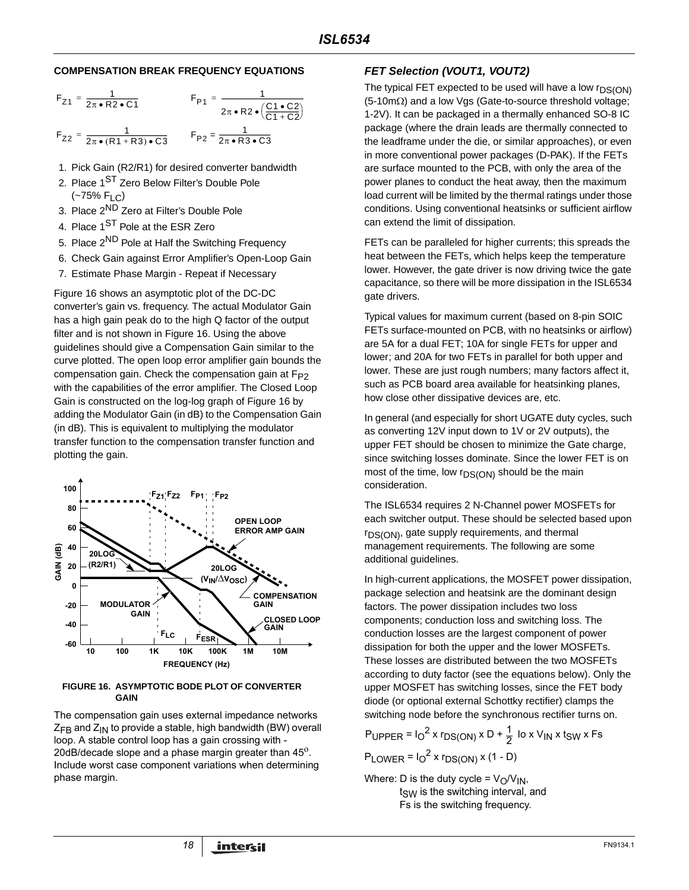#### **COMPENSATION BREAK FREQUENCY EQUATIONS**

$$
F_{Z1} = \frac{1}{2\pi \cdot R2 \cdot C1}
$$
  
\n
$$
F_{P1} = \frac{1}{2\pi \cdot R2 \cdot (C1 \cdot C2)}
$$
  
\n
$$
F_{Z2} = \frac{1}{2\pi \cdot (R1 + R3) \cdot C3}
$$
  
\n
$$
F_{P2} = \frac{1}{2\pi \cdot R3 \cdot C3}
$$

- 1. Pick Gain (R2/R1) for desired converter bandwidth
- 2. Place 1<sup>ST</sup> Zero Below Filter's Double Pole  $(-75\% \text{ F}_{1 C})$
- 3. Place 2ND Zero at Filter's Double Pole
- 4. Place 1<sup>ST</sup> Pole at the ESR Zero
- 5. Place 2<sup>ND</sup> Pole at Half the Switching Frequency
- 6. Check Gain against Error Amplifier's Open-Loop Gain
- 7. Estimate Phase Margin Repeat if Necessary

Figure 16 shows an asymptotic plot of the DC-DC converter's gain vs. frequency. The actual Modulator Gain has a high gain peak do to the high Q factor of the output filter and is not shown in Figure 16. Using the above guidelines should give a Compensation Gain similar to the curve plotted. The open loop error amplifier gain bounds the compensation gain. Check the compensation gain at  $F_{P2}$ with the capabilities of the error amplifier. The Closed Loop Gain is constructed on the log-log graph of Figure 16 by adding the Modulator Gain (in dB) to the Compensation Gain (in dB). This is equivalent to multiplying the modulator transfer function to the compensation transfer function and plotting the gain.



#### **FIGURE 16. ASYMPTOTIC BODE PLOT OF CONVERTER GAIN**

The compensation gain uses external impedance networks  $Z_{FB}$  and  $Z_{IN}$  to provide a stable, high bandwidth (BW) overall loop. A stable control loop has a gain crossing with - 20dB/decade slope and a phase margin greater than  $45^\circ$ . Include worst case component variations when determining phase margin.

## **FET Selection (VOUT1, VOUT2)**

The typical FET expected to be used will have a low  $r_{DS(ON)}$ (5-10mΩ) and a low Vgs (Gate-to-source threshold voltage; 1-2V). It can be packaged in a thermally enhanced SO-8 IC package (where the drain leads are thermally connected to the leadframe under the die, or similar approaches), or even in more conventional power packages (D-PAK). If the FETs are surface mounted to the PCB, with only the area of the power planes to conduct the heat away, then the maximum load current will be limited by the thermal ratings under those conditions. Using conventional heatsinks or sufficient airflow can extend the limit of dissipation.

FETs can be paralleled for higher currents; this spreads the heat between the FETs, which helps keep the temperature lower. However, the gate driver is now driving twice the gate capacitance, so there will be more dissipation in the ISL6534 gate drivers.

Typical values for maximum current (based on 8-pin SOIC FETs surface-mounted on PCB, with no heatsinks or airflow) are 5A for a dual FET; 10A for single FETs for upper and lower; and 20A for two FETs in parallel for both upper and lower. These are just rough numbers; many factors affect it, such as PCB board area available for heatsinking planes, how close other dissipative devices are, etc.

In general (and especially for short UGATE duty cycles, such as converting 12V input down to 1V or 2V outputs), the upper FET should be chosen to minimize the Gate charge, since switching losses dominate. Since the lower FET is on most of the time, low  $r_{DS(ON)}$  should be the main consideration.

The ISL6534 requires 2 N-Channel power MOSFETs for each switcher output. These should be selected based upon  $r_{DS(ON)}$ , gate supply requirements, and thermal management requirements. The following are some additional guidelines.

In high-current applications, the MOSFET power dissipation, package selection and heatsink are the dominant design factors. The power dissipation includes two loss components; conduction loss and switching loss. The conduction losses are the largest component of power dissipation for both the upper and the lower MOSFETs. These losses are distributed between the two MOSFETs according to duty factor (see the equations below). Only the upper MOSFET has switching losses, since the FET body diode (or optional external Schottky rectifier) clamps the switching node before the synchronous rectifier turns on.

$$
P_{\text{UPPER}} = I_0^2 \times r_{DS(ON)} \times D + \frac{1}{2} I_0 \times V_{\text{IN}} \times t_{SW} \times Fs
$$
  

$$
P_{\text{LOWER}} = I_0^2 \times r_{DS(ON)} \times (1 - D)
$$

Where: D is the duty cycle =  $V_O/V_{IN}$ ,  $t<sub>SW</sub>$  is the switching interval, and Fs is the switching frequency.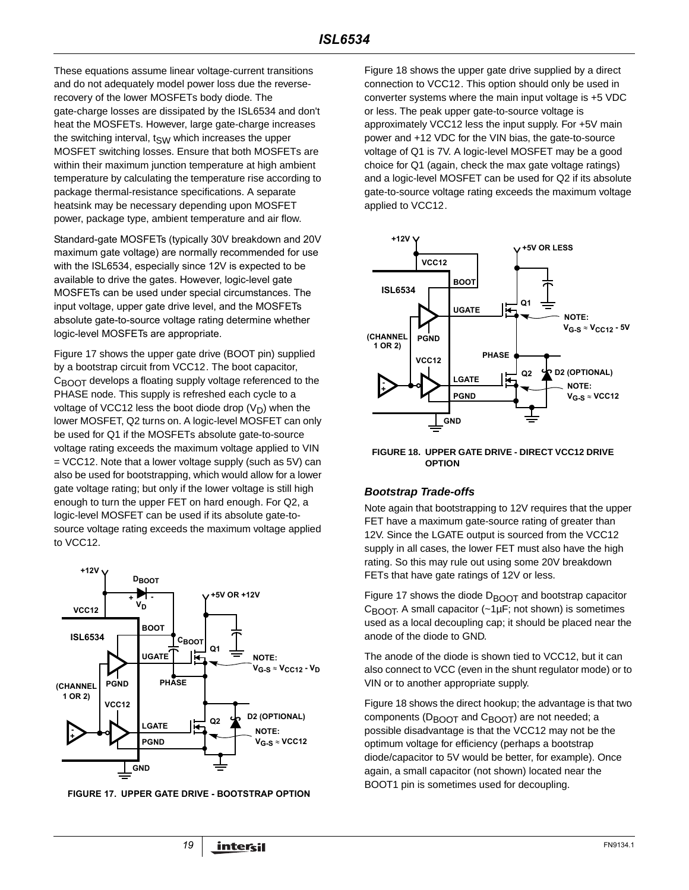These equations assume linear voltage-current transitions and do not adequately model power loss due the reverserecovery of the lower MOSFETs body diode. The gate-charge losses are dissipated by the ISL6534 and don't heat the MOSFETs. However, large gate-charge increases the switching interval,  $t_{SW}$  which increases the upper MOSFET switching losses. Ensure that both MOSFETs are within their maximum junction temperature at high ambient temperature by calculating the temperature rise according to package thermal-resistance specifications. A separate heatsink may be necessary depending upon MOSFET power, package type, ambient temperature and air flow.

Standard-gate MOSFETs (typically 30V breakdown and 20V maximum gate voltage) are normally recommended for use with the ISL6534, especially since 12V is expected to be available to drive the gates. However, logic-level gate MOSFETs can be used under special circumstances. The input voltage, upper gate drive level, and the MOSFETs absolute gate-to-source voltage rating determine whether logic-level MOSFETs are appropriate.

Figure 17 shows the upper gate drive (BOOT pin) supplied by a bootstrap circuit from VCC12. The boot capacitor,  $C_{\text{BOOT}}$  develops a floating supply voltage referenced to the PHASE node. This supply is refreshed each cycle to a voltage of VCC12 less the boot diode drop  $(V_D)$  when the lower MOSFET, Q2 turns on. A logic-level MOSFET can only be used for Q1 if the MOSFETs absolute gate-to-source voltage rating exceeds the maximum voltage applied to VIN = VCC12. Note that a lower voltage supply (such as 5V) can also be used for bootstrapping, which would allow for a lower gate voltage rating; but only if the lower voltage is still high enough to turn the upper FET on hard enough. For Q2, a logic-level MOSFET can be used if its absolute gate-tosource voltage rating exceeds the maximum voltage applied to VCC12.



**FIGURE 17. UPPER GATE DRIVE - BOOTSTRAP OPTION**

Figure 18 shows the upper gate drive supplied by a direct connection to VCC12. This option should only be used in converter systems where the main input voltage is +5 VDC or less. The peak upper gate-to-source voltage is approximately VCC12 less the input supply. For +5V main power and +12 VDC for the VIN bias, the gate-to-source voltage of Q1 is 7V. A logic-level MOSFET may be a good choice for Q1 (again, check the max gate voltage ratings) and a logic-level MOSFET can be used for Q2 if its absolute gate-to-source voltage rating exceeds the maximum voltage applied to VCC12.



**FIGURE 18. UPPER GATE DRIVE - DIRECT VCC12 DRIVE OPTION**

#### **Bootstrap Trade-offs**

Note again that bootstrapping to 12V requires that the upper FET have a maximum gate-source rating of greater than 12V. Since the LGATE output is sourced from the VCC12 supply in all cases, the lower FET must also have the high rating. So this may rule out using some 20V breakdown FETs that have gate ratings of 12V or less.

Figure 17 shows the diode  $D_{\text{BOOT}}$  and bootstrap capacitor  $C_{\text{BODT}}$ . A small capacitor (~1µF; not shown) is sometimes used as a local decoupling cap; it should be placed near the anode of the diode to GND.

The anode of the diode is shown tied to VCC12, but it can also connect to VCC (even in the shunt regulator mode) or to VIN or to another appropriate supply.

Figure 18 shows the direct hookup; the advantage is that two components ( $D_{\text{BOOT}}$  and  $C_{\text{BOOT}}$ ) are not needed; a possible disadvantage is that the VCC12 may not be the optimum voltage for efficiency (perhaps a bootstrap diode/capacitor to 5V would be better, for example). Once again, a small capacitor (not shown) located near the BOOT1 pin is sometimes used for decoupling.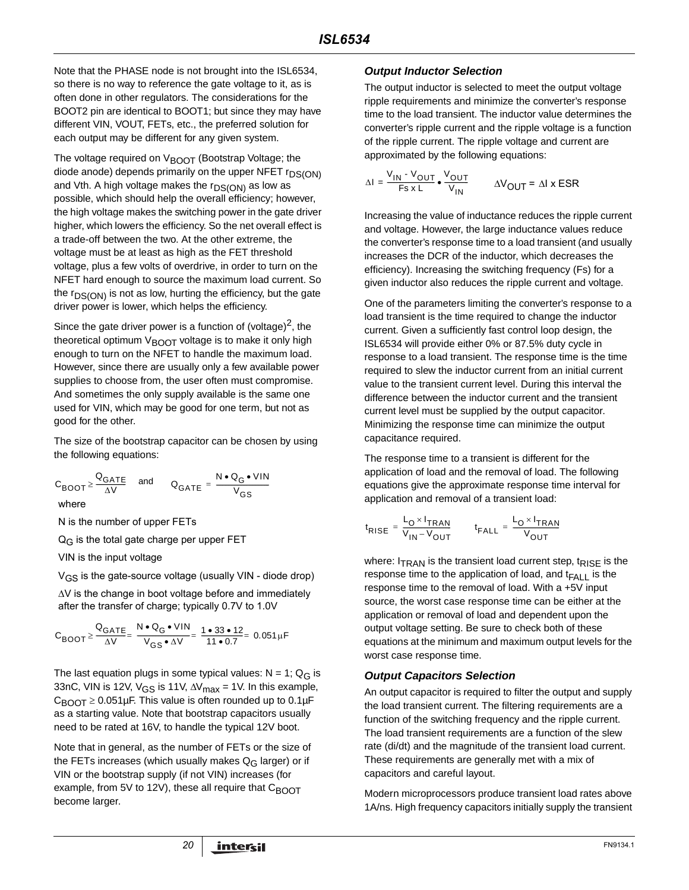Note that the PHASE node is not brought into the ISL6534, so there is no way to reference the gate voltage to it, as is often done in other regulators. The considerations for the BOOT2 pin are identical to BOOT1; but since they may have different VIN, VOUT, FETs, etc., the preferred solution for each output may be different for any given system.

The voltage required on  $V_{\text{BOOT}}$  (Bootstrap Voltage; the diode anode) depends primarily on the upper NFET  $r_{DS(ON)}$ and Vth. A high voltage makes the  $r_{DS(ON)}$  as low as possible, which should help the overall efficiency; however, the high voltage makes the switching power in the gate driver higher, which lowers the efficiency. So the net overall effect is a trade-off between the two. At the other extreme, the voltage must be at least as high as the FET threshold voltage, plus a few volts of overdrive, in order to turn on the NFET hard enough to source the maximum load current. So the  $r_{DS(ON)}$  is not as low, hurting the efficiency, but the gate driver power is lower, which helps the efficiency.

Since the gate driver power is a function of (voltage)<sup>2</sup>, the theoretical optimum  $V_{\text{B}\cap\Omega}$  voltage is to make it only high enough to turn on the NFET to handle the maximum load. However, since there are usually only a few available power supplies to choose from, the user often must compromise. And sometimes the only supply available is the same one used for VIN, which may be good for one term, but not as good for the other.

The size of the bootstrap capacitor can be chosen by using the following equations:

$$
C_{\text{BOOT}} \ge \frac{Q_{\text{GATE}}}{\Delta V}
$$
 and  $Q_{\text{GATE}} = \frac{N \cdot Q_{\text{G}} \cdot \text{VIN}}{V_{\text{GS}}}$ 

where

N is the number of upper FETs

 $Q_G$  is the total gate charge per upper FET

VIN is the input voltage

VGS is the gate-source voltage (usually VIN - diode drop)

∆V is the change in boot voltage before and immediately after the transfer of charge; typically 0.7V to 1.0V

$$
C_{\text{BOOT}} \ge \frac{Q_{\text{GATE}}}{\Delta V} = \frac{N \cdot Q_{\text{G}} \cdot \text{VIN}}{V_{\text{GS}} \cdot \Delta V} = \frac{1 \cdot 33 \cdot 12}{11 \cdot 0.7} = 0.051 \,\mu\text{F}
$$

The last equation plugs in some typical values:  $N = 1$ ; Q<sub>G</sub> is 33nC, VIN is 12V, V<sub>GS</sub> is 11V,  $\Delta V_{\text{max}}$  = 1V. In this example,  $C_{\text{BNOT}} \geq 0.051 \mu\text{F}$ . This value is often rounded up to 0.1 $\mu\text{F}$ as a starting value. Note that bootstrap capacitors usually need to be rated at 16V, to handle the typical 12V boot.

Note that in general, as the number of FETs or the size of the FETs increases (which usually makes  $Q_G$  larger) or if VIN or the bootstrap supply (if not VIN) increases (for example, from 5V to 12V), these all require that  $C_{\text{B}\text{O}O\text{T}}$ become larger.

#### **Output Inductor Selection**

The output inductor is selected to meet the output voltage ripple requirements and minimize the converter's response time to the load transient. The inductor value determines the converter's ripple current and the ripple voltage is a function of the ripple current. The ripple voltage and current are approximated by the following equations:

$$
\Delta I = \frac{V_{IN} - V_{OUT}}{F s x L} \cdot \frac{V_{OUT}}{V_{IN}} \qquad \Delta V_{OUT} = \Delta I \times ESR
$$

Increasing the value of inductance reduces the ripple current and voltage. However, the large inductance values reduce the converter's response time to a load transient (and usually increases the DCR of the inductor, which decreases the efficiency). Increasing the switching frequency (Fs) for a given inductor also reduces the ripple current and voltage.

One of the parameters limiting the converter's response to a load transient is the time required to change the inductor current. Given a sufficiently fast control loop design, the ISL6534 will provide either 0% or 87.5% duty cycle in response to a load transient. The response time is the time required to slew the inductor current from an initial current value to the transient current level. During this interval the difference between the inductor current and the transient current level must be supplied by the output capacitor. Minimizing the response time can minimize the output capacitance required.

The response time to a transient is different for the application of load and the removal of load. The following equations give the approximate response time interval for application and removal of a transient load:

$$
t_{\text{RISE}} = \frac{L_{\text{O}} \times I_{\text{TRAN}}}{V_{\text{IN}} - V_{\text{OUT}}}
$$
 
$$
t_{\text{FALL}} = \frac{L_{\text{O}} \times I_{\text{TRAN}}}{V_{\text{OUT}}}
$$

where:  $I_{\text{TRAN}}$  is the transient load current step,  $t_{\text{RISE}}$  is the response time to the application of load, and  $t_{\text{FALL}}$  is the response time to the removal of load. With a +5V input source, the worst case response time can be either at the application or removal of load and dependent upon the output voltage setting. Be sure to check both of these equations at the minimum and maximum output levels for the worst case response time.

### **Output Capacitors Selection**

An output capacitor is required to filter the output and supply the load transient current. The filtering requirements are a function of the switching frequency and the ripple current. The load transient requirements are a function of the slew rate (di/dt) and the magnitude of the transient load current. These requirements are generally met with a mix of capacitors and careful layout.

Modern microprocessors produce transient load rates above 1A/ns. High frequency capacitors initially supply the transient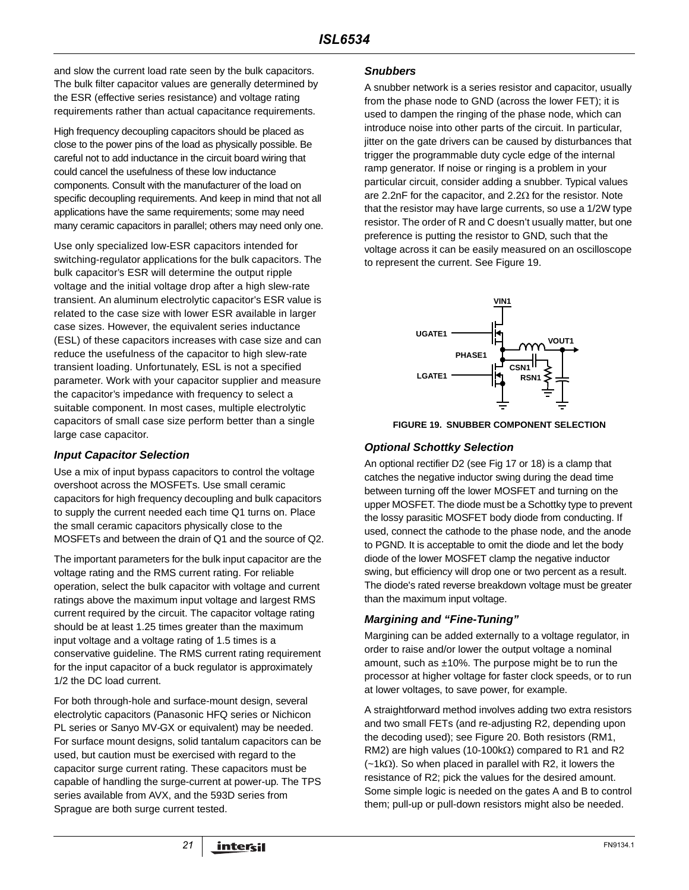and slow the current load rate seen by the bulk capacitors. The bulk filter capacitor values are generally determined by the ESR (effective series resistance) and voltage rating requirements rather than actual capacitance requirements.

High frequency decoupling capacitors should be placed as close to the power pins of the load as physically possible. Be careful not to add inductance in the circuit board wiring that could cancel the usefulness of these low inductance components. Consult with the manufacturer of the load on specific decoupling requirements. And keep in mind that not all applications have the same requirements; some may need many ceramic capacitors in parallel; others may need only one.

Use only specialized low-ESR capacitors intended for switching-regulator applications for the bulk capacitors. The bulk capacitor's ESR will determine the output ripple voltage and the initial voltage drop after a high slew-rate transient. An aluminum electrolytic capacitor's ESR value is related to the case size with lower ESR available in larger case sizes. However, the equivalent series inductance (ESL) of these capacitors increases with case size and can reduce the usefulness of the capacitor to high slew-rate transient loading. Unfortunately, ESL is not a specified parameter. Work with your capacitor supplier and measure the capacitor's impedance with frequency to select a suitable component. In most cases, multiple electrolytic capacitors of small case size perform better than a single large case capacitor.

## **Input Capacitor Selection**

Use a mix of input bypass capacitors to control the voltage overshoot across the MOSFETs. Use small ceramic capacitors for high frequency decoupling and bulk capacitors to supply the current needed each time Q1 turns on. Place the small ceramic capacitors physically close to the MOSFETs and between the drain of Q1 and the source of Q2.

The important parameters for the bulk input capacitor are the voltage rating and the RMS current rating. For reliable operation, select the bulk capacitor with voltage and current ratings above the maximum input voltage and largest RMS current required by the circuit. The capacitor voltage rating should be at least 1.25 times greater than the maximum input voltage and a voltage rating of 1.5 times is a conservative guideline. The RMS current rating requirement for the input capacitor of a buck regulator is approximately 1/2 the DC load current.

For both through-hole and surface-mount design, several electrolytic capacitors (Panasonic HFQ series or Nichicon PL series or Sanyo MV-GX or equivalent) may be needed. For surface mount designs, solid tantalum capacitors can be used, but caution must be exercised with regard to the capacitor surge current rating. These capacitors must be capable of handling the surge-current at power-up. The TPS series available from AVX, and the 593D series from Sprague are both surge current tested.

#### **Snubbers**

A snubber network is a series resistor and capacitor, usually from the phase node to GND (across the lower FET); it is used to dampen the ringing of the phase node, which can introduce noise into other parts of the circuit. In particular, jitter on the gate drivers can be caused by disturbances that trigger the programmable duty cycle edge of the internal ramp generator. If noise or ringing is a problem in your particular circuit, consider adding a snubber. Typical values are 2.2nF for the capacitor, and  $2.2\Omega$  for the resistor. Note that the resistor may have large currents, so use a 1/2W type resistor. The order of R and C doesn't usually matter, but one preference is putting the resistor to GND, such that the voltage across it can be easily measured on an oscilloscope to represent the current. See Figure 19.



**FIGURE 19. SNUBBER COMPONENT SELECTION**

## **Optional Schottky Selection**

An optional rectifier D2 (see Fig 17 or 18) is a clamp that catches the negative inductor swing during the dead time between turning off the lower MOSFET and turning on the upper MOSFET. The diode must be a Schottky type to prevent the lossy parasitic MOSFET body diode from conducting. If used, connect the cathode to the phase node, and the anode to PGND. It is acceptable to omit the diode and let the body diode of the lower MOSFET clamp the negative inductor swing, but efficiency will drop one or two percent as a result. The diode's rated reverse breakdown voltage must be greater than the maximum input voltage.

### **Margining and "Fine-Tuning"**

Margining can be added externally to a voltage regulator, in order to raise and/or lower the output voltage a nominal amount, such as  $\pm 10\%$ . The purpose might be to run the processor at higher voltage for faster clock speeds, or to run at lower voltages, to save power, for example.

A straightforward method involves adding two extra resistors and two small FETs (and re-adjusting R2, depending upon the decoding used); see Figure 20. Both resistors (RM1, RM2) are high values (10-100k $\Omega$ ) compared to R1 and R2 (~1kΩ). So when placed in parallel with R2, it lowers the resistance of R2; pick the values for the desired amount. Some simple logic is needed on the gates A and B to control them; pull-up or pull-down resistors might also be needed.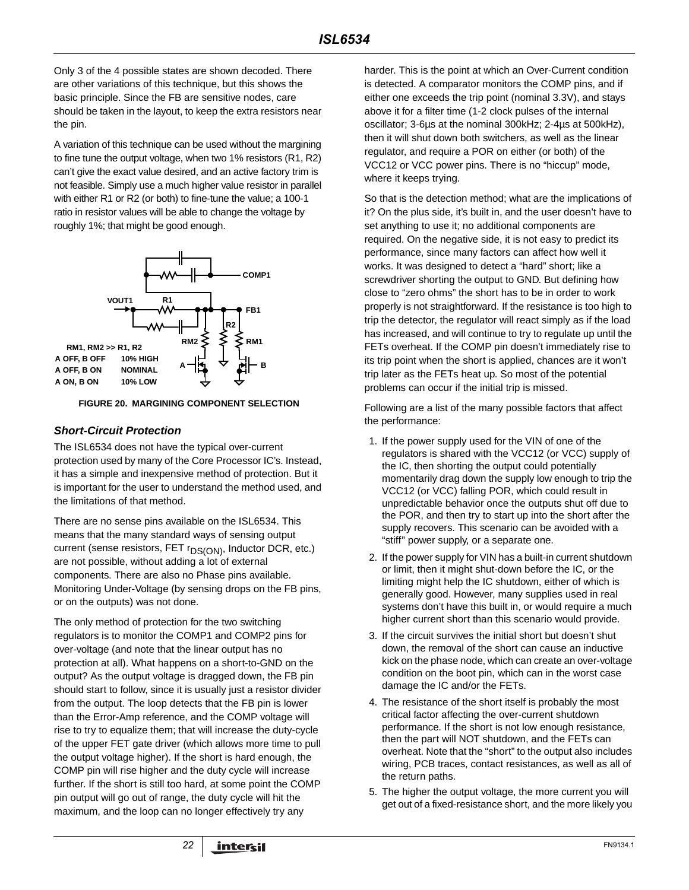Only 3 of the 4 possible states are shown decoded. There are other variations of this technique, but this shows the basic principle. Since the FB are sensitive nodes, care should be taken in the layout, to keep the extra resistors near the pin.

A variation of this technique can be used without the margining to fine tune the output voltage, when two 1% resistors (R1, R2) can't give the exact value desired, and an active factory trim is not feasible. Simply use a much higher value resistor in parallel with either R1 or R2 (or both) to fine-tune the value; a 100-1 ratio in resistor values will be able to change the voltage by roughly 1%; that might be good enough.



#### **FIGURE 20. MARGINING COMPONENT SELECTION**

#### **Short-Circuit Protection**

The ISL6534 does not have the typical over-current protection used by many of the Core Processor IC's. Instead, it has a simple and inexpensive method of protection. But it is important for the user to understand the method used, and the limitations of that method.

There are no sense pins available on the ISL6534. This means that the many standard ways of sensing output current (sense resistors, FET r<sub>DS(ON)</sub>, Inductor DCR, etc.) are not possible, without adding a lot of external components. There are also no Phase pins available. Monitoring Under-Voltage (by sensing drops on the FB pins, or on the outputs) was not done.

The only method of protection for the two switching regulators is to monitor the COMP1 and COMP2 pins for over-voltage (and note that the linear output has no protection at all). What happens on a short-to-GND on the output? As the output voltage is dragged down, the FB pin should start to follow, since it is usually just a resistor divider from the output. The loop detects that the FB pin is lower than the Error-Amp reference, and the COMP voltage will rise to try to equalize them; that will increase the duty-cycle of the upper FET gate driver (which allows more time to pull the output voltage higher). If the short is hard enough, the COMP pin will rise higher and the duty cycle will increase further. If the short is still too hard, at some point the COMP pin output will go out of range, the duty cycle will hit the maximum, and the loop can no longer effectively try any

harder. This is the point at which an Over-Current condition is detected. A comparator monitors the COMP pins, and if either one exceeds the trip point (nominal 3.3V), and stays above it for a filter time (1-2 clock pulses of the internal oscillator; 3-6µs at the nominal 300kHz; 2-4µs at 500kHz), then it will shut down both switchers, as well as the linear regulator, and require a POR on either (or both) of the VCC12 or VCC power pins. There is no "hiccup" mode, where it keeps trying.

So that is the detection method; what are the implications of it? On the plus side, it's built in, and the user doesn't have to set anything to use it; no additional components are required. On the negative side, it is not easy to predict its performance, since many factors can affect how well it works. It was designed to detect a "hard" short; like a screwdriver shorting the output to GND. But defining how close to "zero ohms" the short has to be in order to work properly is not straightforward. If the resistance is too high to trip the detector, the regulator will react simply as if the load has increased, and will continue to try to regulate up until the FETs overheat. If the COMP pin doesn't immediately rise to its trip point when the short is applied, chances are it won't trip later as the FETs heat up. So most of the potential problems can occur if the initial trip is missed.

Following are a list of the many possible factors that affect the performance:

- 1. If the power supply used for the VIN of one of the regulators is shared with the VCC12 (or VCC) supply of the IC, then shorting the output could potentially momentarily drag down the supply low enough to trip the VCC12 (or VCC) falling POR, which could result in unpredictable behavior once the outputs shut off due to the POR, and then try to start up into the short after the supply recovers. This scenario can be avoided with a "stiff" power supply, or a separate one.
- 2. If the power supply for VIN has a built-in current shutdown or limit, then it might shut-down before the IC, or the limiting might help the IC shutdown, either of which is generally good. However, many supplies used in real systems don't have this built in, or would require a much higher current short than this scenario would provide.
- 3. If the circuit survives the initial short but doesn't shut down, the removal of the short can cause an inductive kick on the phase node, which can create an over-voltage condition on the boot pin, which can in the worst case damage the IC and/or the FETs.
- 4. The resistance of the short itself is probably the most critical factor affecting the over-current shutdown performance. If the short is not low enough resistance, then the part will NOT shutdown, and the FETs can overheat. Note that the "short" to the output also includes wiring, PCB traces, contact resistances, as well as all of the return paths.
- 5. The higher the output voltage, the more current you will get out of a fixed-resistance short, and the more likely you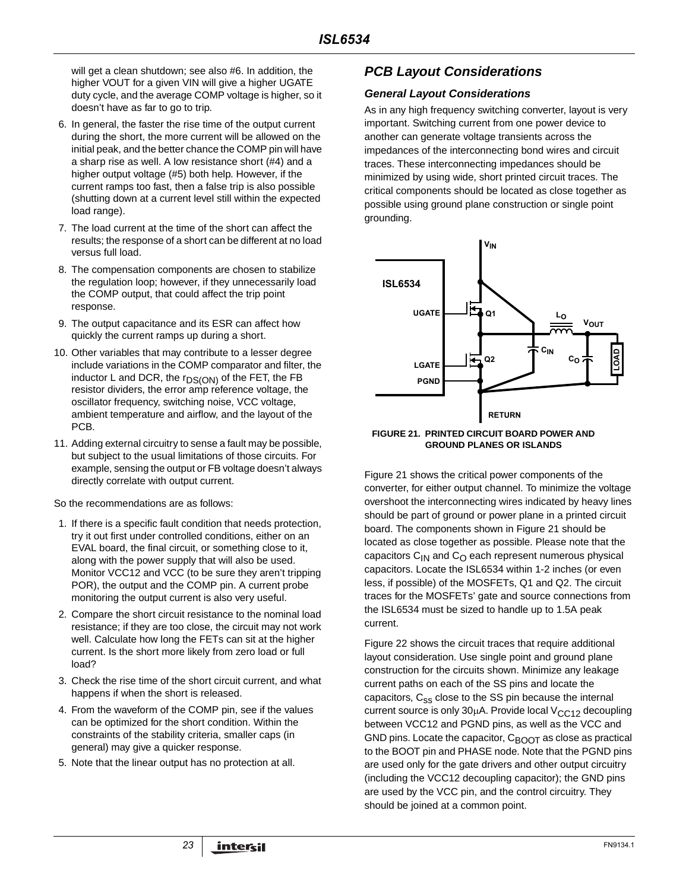will get a clean shutdown; see also #6. In addition, the higher VOUT for a given VIN will give a higher UGATE duty cycle, and the average COMP voltage is higher, so it doesn't have as far to go to trip.

- 6. In general, the faster the rise time of the output current during the short, the more current will be allowed on the initial peak, and the better chance the COMP pin will have a sharp rise as well. A low resistance short (#4) and a higher output voltage (#5) both help. However, if the current ramps too fast, then a false trip is also possible (shutting down at a current level still within the expected load range).
- 7. The load current at the time of the short can affect the results; the response of a short can be different at no load versus full load.
- 8. The compensation components are chosen to stabilize the regulation loop; however, if they unnecessarily load the COMP output, that could affect the trip point response.
- 9. The output capacitance and its ESR can affect how quickly the current ramps up during a short.
- 10. Other variables that may contribute to a lesser degree include variations in the COMP comparator and filter, the inductor L and DCR, the  $r_{DS(ON)}$  of the FET, the FB resistor dividers, the error amp reference voltage, the oscillator frequency, switching noise, VCC voltage, ambient temperature and airflow, and the layout of the PCB.
- 11. Adding external circuitry to sense a fault may be possible, but subject to the usual limitations of those circuits. For example, sensing the output or FB voltage doesn't always directly correlate with output current.

So the recommendations are as follows:

- 1. If there is a specific fault condition that needs protection, try it out first under controlled conditions, either on an EVAL board, the final circuit, or something close to it, along with the power supply that will also be used. Monitor VCC12 and VCC (to be sure they aren't tripping POR), the output and the COMP pin. A current probe monitoring the output current is also very useful.
- 2. Compare the short circuit resistance to the nominal load resistance; if they are too close, the circuit may not work well. Calculate how long the FETs can sit at the higher current. Is the short more likely from zero load or full load?
- 3. Check the rise time of the short circuit current, and what happens if when the short is released.
- 4. From the waveform of the COMP pin, see if the values can be optimized for the short condition. Within the constraints of the stability criteria, smaller caps (in general) may give a quicker response.
- 5. Note that the linear output has no protection at all.

# **PCB Layout Considerations**

#### **General Layout Considerations**

As in any high frequency switching converter, layout is very important. Switching current from one power device to another can generate voltage transients across the impedances of the interconnecting bond wires and circuit traces. These interconnecting impedances should be minimized by using wide, short printed circuit traces. The critical components should be located as close together as possible using ground plane construction or single point grounding.



#### **FIGURE 21. PRINTED CIRCUIT BOARD POWER AND GROUND PLANES OR ISLANDS**

Figure 21 shows the critical power components of the converter, for either output channel. To minimize the voltage overshoot the interconnecting wires indicated by heavy lines should be part of ground or power plane in a printed circuit board. The components shown in Figure 21 should be located as close together as possible. Please note that the capacitors  $C_{1N}$  and  $C_{O}$  each represent numerous physical capacitors. Locate the ISL6534 within 1-2 inches (or even less, if possible) of the MOSFETs, Q1 and Q2. The circuit traces for the MOSFETs' gate and source connections from the ISL6534 must be sized to handle up to 1.5A peak current.

Figure 22 shows the circuit traces that require additional layout consideration. Use single point and ground plane construction for the circuits shown. Minimize any leakage current paths on each of the SS pins and locate the capacitors, C<sub>ss</sub> close to the SS pin because the internal current source is only  $30\mu$ A. Provide local  $V<sub>CC12</sub>$  decoupling between VCC12 and PGND pins, as well as the VCC and GND pins. Locate the capacitor,  $C_{\text{BOOT}}$  as close as practical to the BOOT pin and PHASE node. Note that the PGND pins are used only for the gate drivers and other output circuitry (including the VCC12 decoupling capacitor); the GND pins are used by the VCC pin, and the control circuitry. They should be joined at a common point.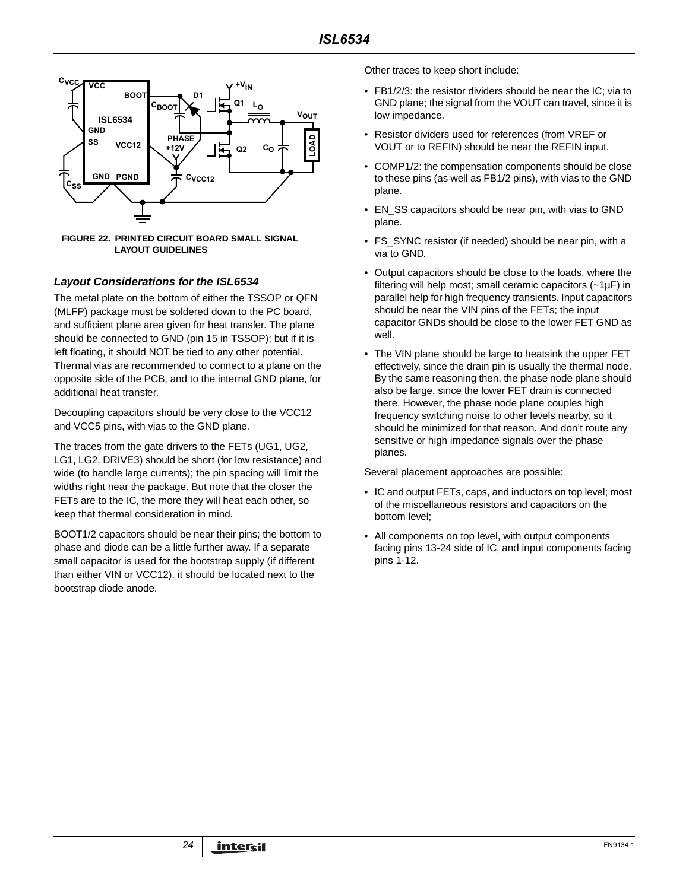

**FIGURE 22. PRINTED CIRCUIT BOARD SMALL SIGNAL LAYOUT GUIDELINES**

### **Layout Considerations for the ISL6534**

The metal plate on the bottom of either the TSSOP or QFN (MLFP) package must be soldered down to the PC board, and sufficient plane area given for heat transfer. The plane should be connected to GND (pin 15 in TSSOP); but if it is left floating, it should NOT be tied to any other potential. Thermal vias are recommended to connect to a plane on the opposite side of the PCB, and to the internal GND plane, for additional heat transfer.

Decoupling capacitors should be very close to the VCC12 and VCC5 pins, with vias to the GND plane.

The traces from the gate drivers to the FETs (UG1, UG2, LG1, LG2, DRIVE3) should be short (for low resistance) and wide (to handle large currents); the pin spacing will limit the widths right near the package. But note that the closer the FETs are to the IC, the more they will heat each other, so keep that thermal consideration in mind.

BOOT1/2 capacitors should be near their pins; the bottom to phase and diode can be a little further away. If a separate small capacitor is used for the bootstrap supply (if different than either VIN or VCC12), it should be located next to the bootstrap diode anode.

Other traces to keep short include:

- FB1/2/3: the resistor dividers should be near the IC; via to GND plane; the signal from the VOUT can travel, since it is low impedance.
- Resistor dividers used for references (from VREF or VOUT or to REFIN) should be near the REFIN input.
- COMP1/2: the compensation components should be close to these pins (as well as FB1/2 pins), with vias to the GND plane.
- EN\_SS capacitors should be near pin, with vias to GND plane.
- FS\_SYNC resistor (if needed) should be near pin, with a via to GND.
- Output capacitors should be close to the loads, where the filtering will help most; small ceramic capacitors (~1µF) in parallel help for high frequency transients. Input capacitors should be near the VIN pins of the FETs; the input capacitor GNDs should be close to the lower FET GND as well.
- The VIN plane should be large to heatsink the upper FET effectively, since the drain pin is usually the thermal node. By the same reasoning then, the phase node plane should also be large, since the lower FET drain is connected there. However, the phase node plane couples high frequency switching noise to other levels nearby, so it should be minimized for that reason. And don't route any sensitive or high impedance signals over the phase planes.

Several placement approaches are possible:

- IC and output FETs, caps, and inductors on top level; most of the miscellaneous resistors and capacitors on the bottom level;
- All components on top level, with output components facing pins 13-24 side of IC, and input components facing pins 1-12.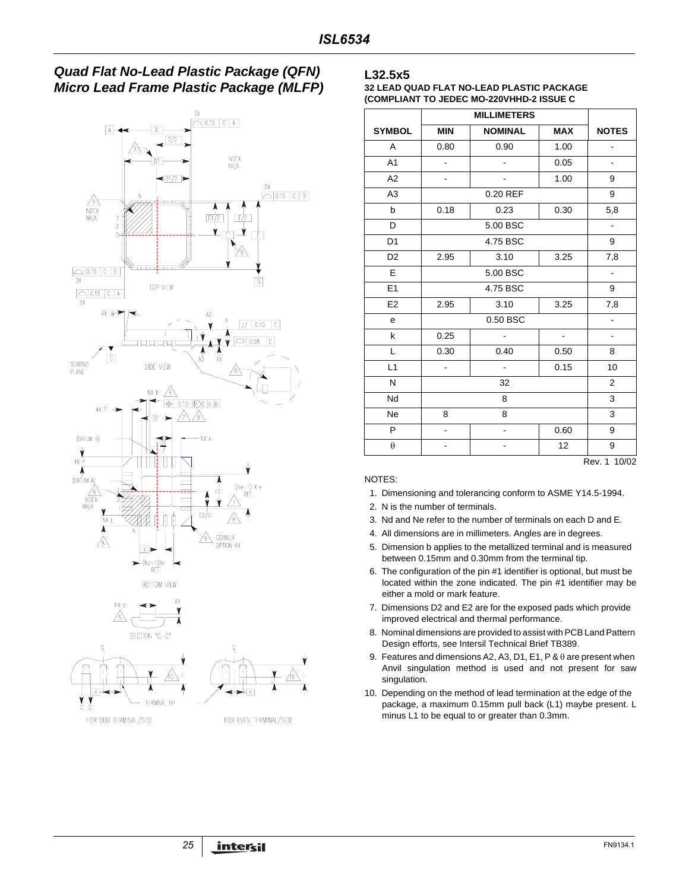







#### **L32.5x5**

**32 LEAD QUAD FLAT NO-LEAD PLASTIC PACKAGE (COMPLIANT TO JEDEC MO-220VHHD-2 ISSUE C**

| <b>SYMBOL</b>  | <b>MIN</b>                   | <b>NOMINAL</b>           | <b>MAX</b> | <b>NOTES</b>   |  |  |
|----------------|------------------------------|--------------------------|------------|----------------|--|--|
| A              | 0.80                         | 0.90                     | 1.00       |                |  |  |
| A <sub>1</sub> | $\frac{1}{2}$                |                          | 0.05       | $\frac{1}{2}$  |  |  |
| A2             |                              |                          | 1.00       | 9              |  |  |
| A <sub>3</sub> |                              | 0.20 REF                 |            | 9              |  |  |
| b              | 0.18                         | 0.23                     | 0.30       | 5,8            |  |  |
| D              |                              | 5.00 BSC                 |            | $\blacksquare$ |  |  |
| D <sub>1</sub> |                              | 4.75 BSC                 |            | 9              |  |  |
| D <sub>2</sub> | 2.95                         | 3.10                     | 3.25       | 7,8            |  |  |
| E              |                              | 5.00 BSC                 |            | $\frac{1}{2}$  |  |  |
| E1             |                              | 4.75 BSC                 |            |                |  |  |
| E <sub>2</sub> | 2.95                         | 3.10                     | 7,8        |                |  |  |
| e              |                              | 0.50 BSC                 |            | $\blacksquare$ |  |  |
| k              | 0.25                         | ä,                       | $\Box$     | $\frac{1}{2}$  |  |  |
| L              | 0.30                         | 0.40                     | 0.50       | 8              |  |  |
| L1             | $\frac{1}{2}$                | $\overline{\phantom{a}}$ | 0.15       | 10             |  |  |
| N              |                              | 32                       |            | $\overline{2}$ |  |  |
| Nd             |                              | 8                        |            | 3              |  |  |
| <b>Ne</b>      | 8                            | 8                        |            | 3              |  |  |
| P              | $\qquad \qquad \blacksquare$ |                          | 0.60       | 9              |  |  |
| $\theta$       |                              |                          | 12         | 9              |  |  |
|                |                              |                          |            | Rev. 1 10/02   |  |  |

#### NOTES:

- 1. Dimensioning and tolerancing conform to ASME Y14.5-1994.
- 2. N is the number of terminals.
- 3. Nd and Ne refer to the number of terminals on each D and E.
- 4. All dimensions are in millimeters. Angles are in degrees.
- 5. Dimension b applies to the metallized terminal and is measured between 0.15mm and 0.30mm from the terminal tip.
- 6. The configuration of the pin #1 identifier is optional, but must be located within the zone indicated. The pin #1 identifier may be either a mold or mark feature.
- 7. Dimensions D2 and E2 are for the exposed pads which provide improved electrical and thermal performance.
- 8. Nominal dimensions are provided to assist with PCB Land Pattern Design efforts, see Intersil Technical Brief TB389.
- 9. Features and dimensions A2, A3, D1, E1, P & θ are present when Anvil singulation method is used and not present for saw singulation.
- 10. Depending on the method of lead termination at the edge of the package, a maximum 0.15mm pull back (L1) maybe present. L minus L1 to be equal to or greater than 0.3mm.